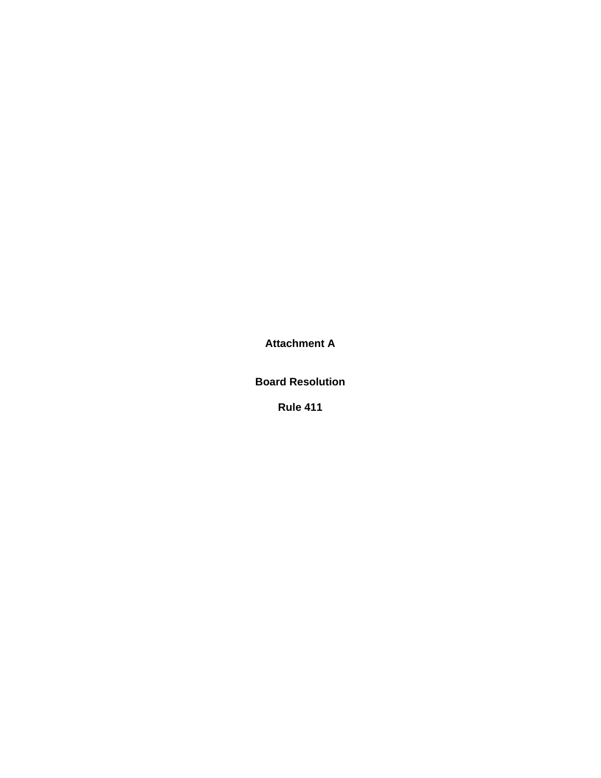**Attachment A** 

**Board Resolution** 

**Rule 411**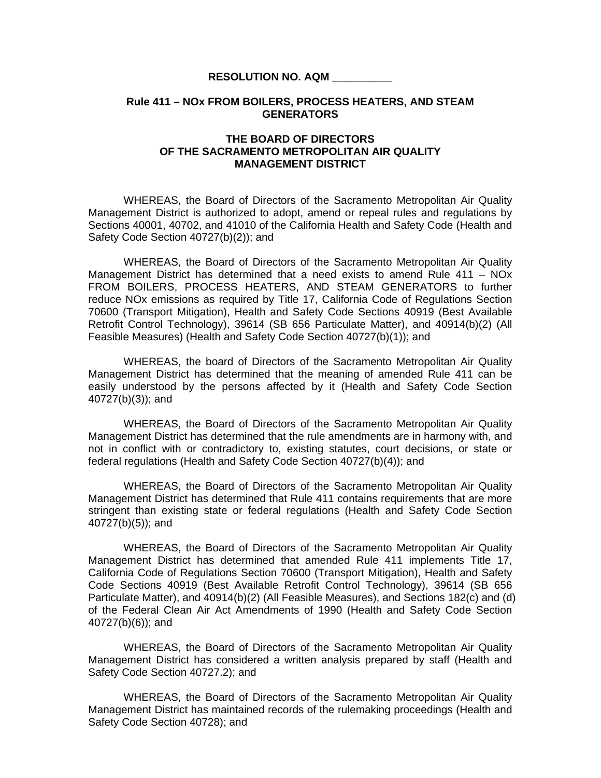#### **RESOLUTION NO. AQM \_\_\_\_\_\_\_\_\_\_**

## **Rule 411 – NOx FROM BOILERS, PROCESS HEATERS, AND STEAM GENERATORS**

# **THE BOARD OF DIRECTORS OF THE SACRAMENTO METROPOLITAN AIR QUALITY MANAGEMENT DISTRICT**

 WHEREAS, the Board of Directors of the Sacramento Metropolitan Air Quality Management District is authorized to adopt, amend or repeal rules and regulations by Sections 40001, 40702, and 41010 of the California Health and Safety Code (Health and Safety Code Section 40727(b)(2)); and

WHEREAS, the Board of Directors of the Sacramento Metropolitan Air Quality Management District has determined that a need exists to amend Rule 411 – NOx FROM BOILERS, PROCESS HEATERS, AND STEAM GENERATORS to further reduce NOx emissions as required by Title 17, California Code of Regulations Section 70600 (Transport Mitigation), Health and Safety Code Sections 40919 (Best Available Retrofit Control Technology), 39614 (SB 656 Particulate Matter), and 40914(b)(2) (All Feasible Measures) (Health and Safety Code Section 40727(b)(1)); and

 WHEREAS, the board of Directors of the Sacramento Metropolitan Air Quality Management District has determined that the meaning of amended Rule 411 can be easily understood by the persons affected by it (Health and Safety Code Section 40727(b)(3)); and

 WHEREAS, the Board of Directors of the Sacramento Metropolitan Air Quality Management District has determined that the rule amendments are in harmony with, and not in conflict with or contradictory to, existing statutes, court decisions, or state or federal regulations (Health and Safety Code Section 40727(b)(4)); and

 WHEREAS, the Board of Directors of the Sacramento Metropolitan Air Quality Management District has determined that Rule 411 contains requirements that are more stringent than existing state or federal regulations (Health and Safety Code Section 40727(b)(5)); and

 WHEREAS, the Board of Directors of the Sacramento Metropolitan Air Quality Management District has determined that amended Rule 411 implements Title 17, California Code of Regulations Section 70600 (Transport Mitigation), Health and Safety Code Sections 40919 (Best Available Retrofit Control Technology), 39614 (SB 656 Particulate Matter), and 40914(b)(2) (All Feasible Measures), and Sections 182(c) and (d) of the Federal Clean Air Act Amendments of 1990 (Health and Safety Code Section 40727(b)(6)); and

WHEREAS, the Board of Directors of the Sacramento Metropolitan Air Quality Management District has considered a written analysis prepared by staff (Health and Safety Code Section 40727.2); and

WHEREAS, the Board of Directors of the Sacramento Metropolitan Air Quality Management District has maintained records of the rulemaking proceedings (Health and Safety Code Section 40728); and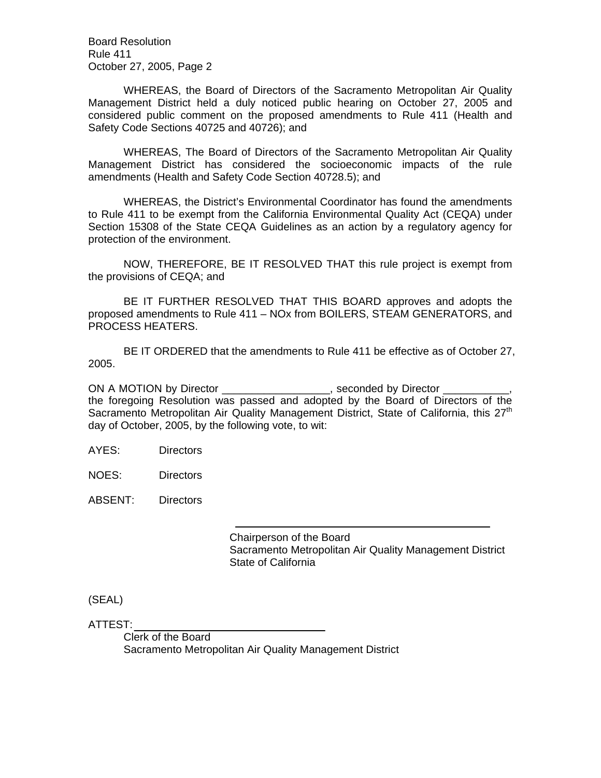Board Resolution Rule 411 October 27, 2005, Page 2

 WHEREAS, the Board of Directors of the Sacramento Metropolitan Air Quality Management District held a duly noticed public hearing on October 27, 2005 and considered public comment on the proposed amendments to Rule 411 (Health and Safety Code Sections 40725 and 40726); and

 WHEREAS, The Board of Directors of the Sacramento Metropolitan Air Quality Management District has considered the socioeconomic impacts of the rule amendments (Health and Safety Code Section 40728.5); and

WHEREAS, the District's Environmental Coordinator has found the amendments to Rule 411 to be exempt from the California Environmental Quality Act (CEQA) under Section 15308 of the State CEQA Guidelines as an action by a regulatory agency for protection of the environment.

NOW, THEREFORE, BE IT RESOLVED THAT this rule project is exempt from the provisions of CEQA; and

BE IT FURTHER RESOLVED THAT THIS BOARD approves and adopts the proposed amendments to Rule 411 – NOx from BOILERS, STEAM GENERATORS, and PROCESS HEATERS.

BE IT ORDERED that the amendments to Rule 411 be effective as of October 27, 2005.

ON A MOTION by Director \_\_\_\_\_\_\_\_\_\_\_\_\_\_\_\_\_, seconded by Director \_ the foregoing Resolution was passed and adopted by the Board of Directors of the Sacramento Metropolitan Air Quality Management District, State of California, this 27<sup>th</sup> day of October, 2005, by the following vote, to wit:

AYES: Directors

NOES: Directors

ABSENT: Directors

 Chairperson of the Board Sacramento Metropolitan Air Quality Management District State of California

(SEAL)

ATTEST:

 Clerk of the Board Sacramento Metropolitan Air Quality Management District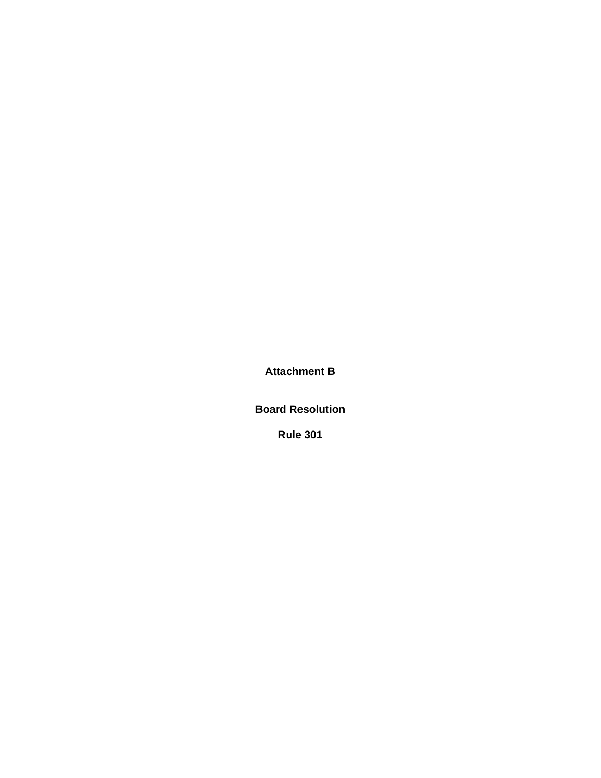**Attachment B** 

**Board Resolution** 

**Rule 301**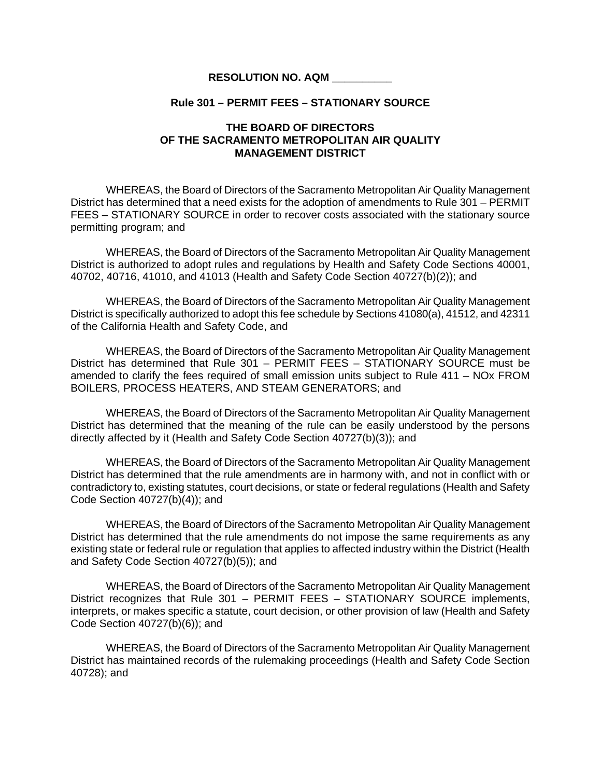# **RESOLUTION NO. AQM \_\_\_\_\_\_\_\_\_\_**

## **Rule 301 – PERMIT FEES – STATIONARY SOURCE**

# **THE BOARD OF DIRECTORS OF THE SACRAMENTO METROPOLITAN AIR QUALITY MANAGEMENT DISTRICT**

WHEREAS, the Board of Directors of the Sacramento Metropolitan Air Quality Management District has determined that a need exists for the adoption of amendments to Rule 301 – PERMIT FEES – STATIONARY SOURCE in order to recover costs associated with the stationary source permitting program; and

WHEREAS, the Board of Directors of the Sacramento Metropolitan Air Quality Management District is authorized to adopt rules and regulations by Health and Safety Code Sections 40001, 40702, 40716, 41010, and 41013 (Health and Safety Code Section 40727(b)(2)); and

WHEREAS, the Board of Directors of the Sacramento Metropolitan Air Quality Management District is specifically authorized to adopt this fee schedule by Sections 41080(a), 41512, and 42311 of the California Health and Safety Code, and

WHEREAS, the Board of Directors of the Sacramento Metropolitan Air Quality Management District has determined that Rule 301 – PERMIT FEES – STATIONARY SOURCE must be amended to clarify the fees required of small emission units subject to Rule 411 – NOx FROM BOILERS, PROCESS HEATERS, AND STEAM GENERATORS; and

WHEREAS, the Board of Directors of the Sacramento Metropolitan Air Quality Management District has determined that the meaning of the rule can be easily understood by the persons directly affected by it (Health and Safety Code Section 40727(b)(3)); and

WHEREAS, the Board of Directors of the Sacramento Metropolitan Air Quality Management District has determined that the rule amendments are in harmony with, and not in conflict with or contradictory to, existing statutes, court decisions, or state or federal regulations (Health and Safety Code Section 40727(b)(4)); and

WHEREAS, the Board of Directors of the Sacramento Metropolitan Air Quality Management District has determined that the rule amendments do not impose the same requirements as any existing state or federal rule or regulation that applies to affected industry within the District (Health and Safety Code Section 40727(b)(5)); and

 WHEREAS, the Board of Directors of the Sacramento Metropolitan Air Quality Management District recognizes that Rule 301 – PERMIT FEES – STATIONARY SOURCE implements, interprets, or makes specific a statute, court decision, or other provision of law (Health and Safety Code Section 40727(b)(6)); and

WHEREAS, the Board of Directors of the Sacramento Metropolitan Air Quality Management District has maintained records of the rulemaking proceedings (Health and Safety Code Section 40728); and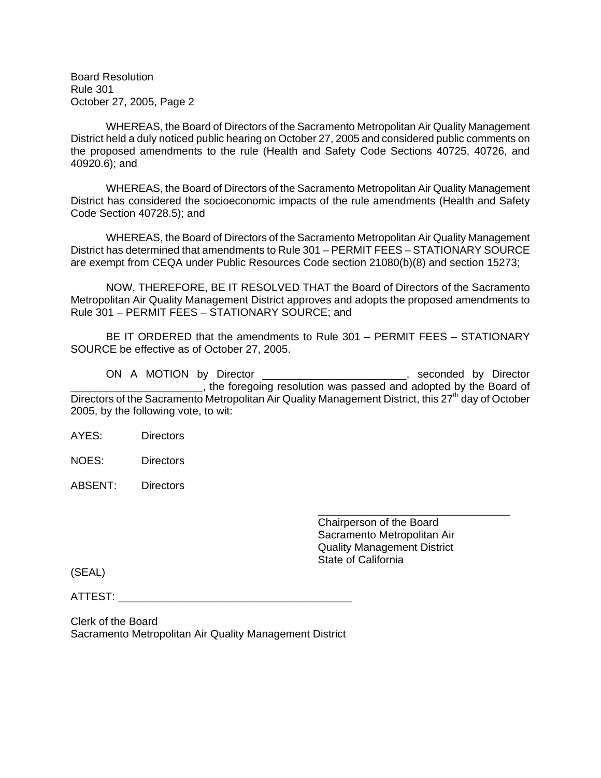Board Resolution Rule 301 October 27, 2005, Page 2

WHEREAS, the Board of Directors of the Sacramento Metropolitan Air Quality Management District held a duly noticed public hearing on October 27, 2005 and considered public comments on the proposed amendments to the rule (Health and Safety Code Sections 40725, 40726, and 40920.6); and

WHEREAS, the Board of Directors of the Sacramento Metropolitan Air Quality Management District has considered the socioeconomic impacts of the rule amendments (Health and Safety Code Section 40728.5); and

WHEREAS, the Board of Directors of the Sacramento Metropolitan Air Quality Management District has determined that amendments to Rule 301 – PERMIT FEES – STATIONARY SOURCE are exempt from CEQA under Public Resources Code section 21080(b)(8) and section 15273;

NOW, THEREFORE, BE IT RESOLVED THAT the Board of Directors of the Sacramento Metropolitan Air Quality Management District approves and adopts the proposed amendments to Rule 301 – PERMIT FEES – STATIONARY SOURCE; and

BE IT ORDERED that the amendments to Rule 301 – PERMIT FEES – STATIONARY SOURCE be effective as of October 27, 2005.

ON A MOTION by Director \_\_\_\_\_\_\_\_\_\_\_\_\_\_\_\_\_\_\_\_\_\_\_\_, seconded by Director \_\_\_\_\_\_\_\_\_\_\_\_\_\_\_\_\_\_\_\_\_\_, the foregoing resolution was passed and adopted by the Board of Directors of the Sacramento Metropolitan Air Quality Management District, this  $27<sup>th</sup>$  day of October 2005, by the following vote, to wit:

AYES: Directors

NOES: Directors

ABSENT: Directors

 $\overline{\phantom{a}}$  , and the contract of the contract of the contract of the contract of the contract of the contract of the contract of the contract of the contract of the contract of the contract of the contract of the contrac Chairperson of the Board Sacramento Metropolitan Air Quality Management District State of California

(SEAL)

ATTEST: \_\_\_\_\_\_\_\_\_\_\_\_\_\_\_\_\_\_\_\_\_\_\_\_\_\_\_\_\_\_\_\_\_\_\_\_\_\_\_

Clerk of the Board Sacramento Metropolitan Air Quality Management District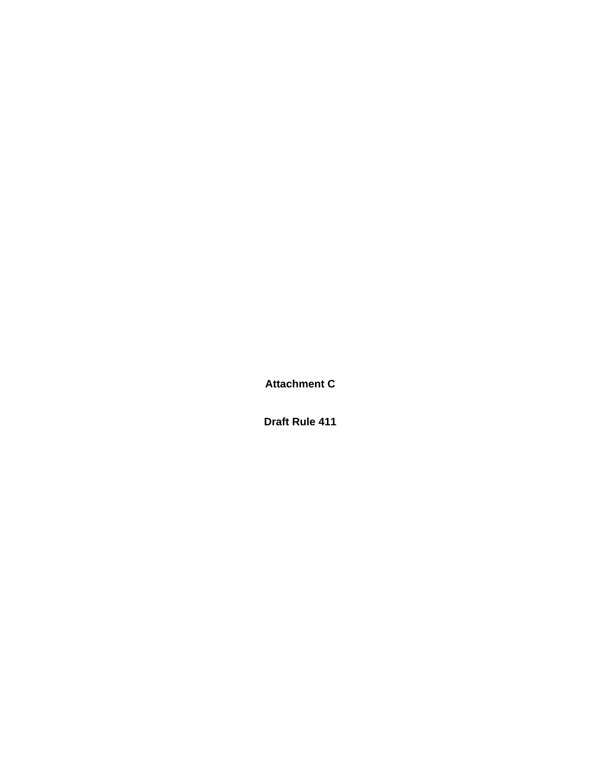**Attachment C** 

**Draft Rule 411**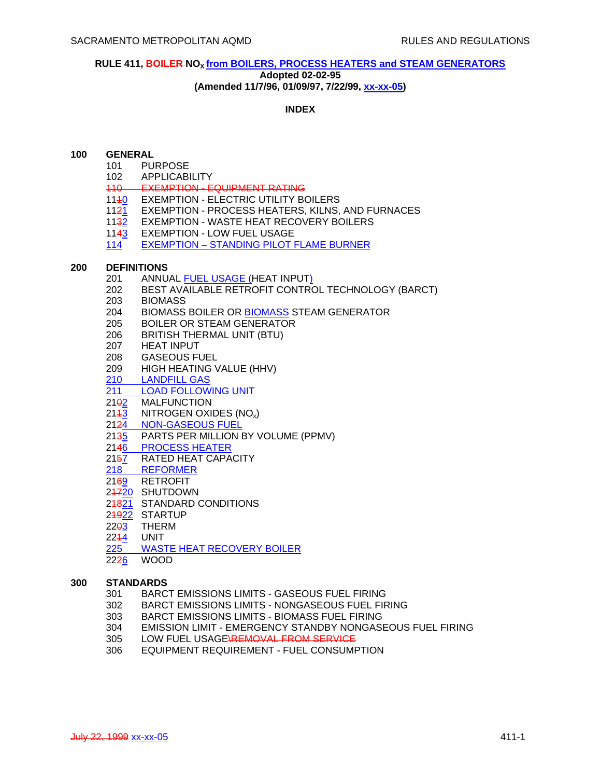## **RULE 411, BOILER NOX from BOILERS, PROCESS HEATERS and STEAM GENERATORS**

#### **Adopted 02-02-95**

**(Amended 11/7/96, 01/09/97, 7/22/99, xx-xx-05)**

## **INDEX**

## **100 GENERAL**

- 101 PURPOSE
- 102 APPLICABILITY<br>110 EXEMPTION F
- EXEMPTION EQUIPMENT RATING
- 1140 EXEMPTION ELECTRIC UTILITY BOILERS
- 1121 EXEMPTION PROCESS HEATERS, KILNS, AND FURNACES
- 1132 EXEMPTION WASTE HEAT RECOVERY BOILERS
- 1143 EXEMPTION LOW FUEL USAGE
- 114 EXEMPTION STANDING PILOT FLAME BURNER

## **200 DEFINITIONS**

- 201 ANNUAL FUEL USAGE (HEAT INPUT)
- 202 BEST AVAILABLE RETROFIT CONTROL TECHNOLOGY (BARCT)
- 203 BIOMASS
- 204 BIOMASS BOILER OR BIOMASS STEAM GENERATOR
- 205 BOILER OR STEAM GENERATOR
- 206 BRITISH THERMAL UNIT (BTU)
- 207 HEAT INPUT
- 208 GASEOUS FUEL
- 209 HIGH HEATING VALUE (HHV)
- 210 LANDFILL GAS
- 211 LOAD FOLLOWING UNIT
- 21<sub>92</sub> MALFUNCTION
- 2143 NITROGEN OXIDES (NO<sub>x</sub>)
- 2124 NON-GASEOUS FUEL
- 2135 PARTS PER MILLION BY VOLUME (PPMV)
- 2146 PROCESS HEATER<br>2157 RATED HEAT CAPA
- RATED HEAT CAPACITY
- 218 REFORMER
- 2169 RETROFIT
- 24720 SHUTDOWN
- 24821 STANDARD CONDITIONS
- 24922 STARTUP
- $22<sub>0</sub>$  THERM
- 2244 UNIT
- 225 WASTE HEAT RECOVERY BOILER
- 2226 WOOD

# **300 STANDARDS**

- 301 BARCT EMISSIONS LIMITS GASEOUS FUEL FIRING
- 302 BARCT EMISSIONS LIMITS NONGASEOUS FUEL FIRING
- 303 BARCT EMISSIONS LIMITS BIOMASS FUEL FIRING
- 304 EMISSION LIMIT EMERGENCY STANDBY NONGASEOUS FUEL FIRING
- 305 LOW FUEL USAGE\REMOVAL FROM SERVICE
- 306 EQUIPMENT REQUIREMENT FUEL CONSUMPTION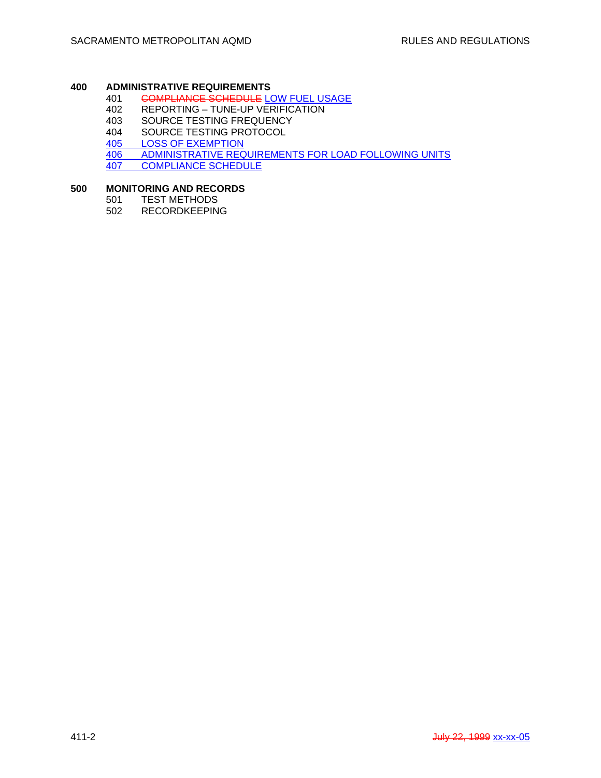# **400 ADMINISTRATIVE REQUIREMENTS**

- 401 COMPLIANCE SCHEDULE LOW FUEL USAGE<br>402 REPORTING TUNE-UP VERIFICATION
- 402 REPORTING TUNE-UP VERIFICATION<br>403 SOURCE TESTING FREQUENCY
- 403 SOURCE TESTING FREQUENCY<br>404 SOURCE TESTING PROTOCOL
- SOURCE TESTING PROTOCOL
- 405 LOSS OF EXEMPTION
- 406 ADMINISTRATIVE REQUIREMENTS FOR LOAD FOLLOWING UNITS<br>407 COMPLIANCE SCHEDULE
- COMPLIANCE SCHEDULE

## **500 MONITORING AND RECORDS**

- 501 TEST METHODS<br>502 RECORDKEEPIN
- **RECORDKEEPING**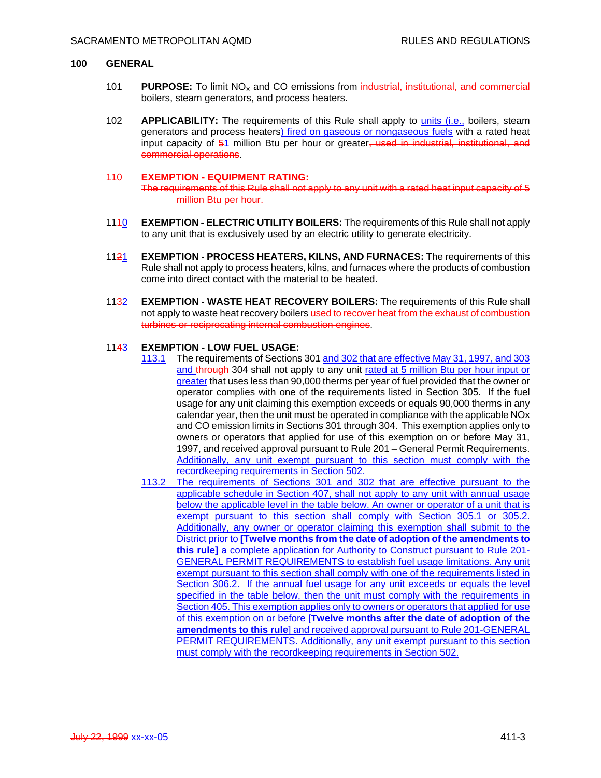#### **100 GENERAL**

- 101 **PURPOSE:** To limit NO<sub>X</sub> and CO emissions from industrial, institutional, and commercial boilers, steam generators, and process heaters.
- 102 **APPLICABILITY:** The requirements of this Rule shall apply to units (i.e., boilers, steam generators and process heaters) fired on gaseous or nongaseous fuels with a rated heat input capacity of 51 million Btu per hour or greater, used in industrial, institutional, and commercial operations.

#### 110 **EXEMPTION - EQUIPMENT RATING:**

The requirements of this Rule shall not apply to any unit with a rated heat input capacity of 5 million Btu per hour.

- 1140 **EXEMPTION ELECTRIC UTILITY BOILERS:** The requirements of this Rule shall not apply to any unit that is exclusively used by an electric utility to generate electricity.
- 1121 **EXEMPTION PROCESS HEATERS, KILNS, AND FURNACES:** The requirements of this Rule shall not apply to process heaters, kilns, and furnaces where the products of combustion come into direct contact with the material to be heated.
- 1132 **EXEMPTION WASTE HEAT RECOVERY BOILERS:** The requirements of this Rule shall not apply to waste heat recovery boilers used to recover heat from the exhaust of combustion turbines or reciprocating internal combustion engines.

#### 1143 **EXEMPTION - LOW FUEL USAGE:**

- 113.1 The requirements of Sections 301 and 302 that are effective May 31, 1997, and 303 and through 304 shall not apply to any unit rated at 5 million Btu per hour input or greater that uses less than 90,000 therms per year of fuel provided that the owner or operator complies with one of the requirements listed in Section 305. If the fuel usage for any unit claiming this exemption exceeds or equals 90,000 therms in any calendar year, then the unit must be operated in compliance with the applicable NOx and CO emission limits in Sections 301 through 304. This exemption applies only to owners or operators that applied for use of this exemption on or before May 31, 1997, and received approval pursuant to Rule 201 – General Permit Requirements. Additionally, any unit exempt pursuant to this section must comply with the recordkeeping requirements in Section 502.
- 113.2 The requirements of Sections 301 and 302 that are effective pursuant to the applicable schedule in Section 407, shall not apply to any unit with annual usage below the applicable level in the table below. An owner or operator of a unit that is exempt pursuant to this section shall comply with Section 305.1 or 305.2. Additionally, any owner or operator claiming this exemption shall submit to the District prior to **[Twelve months from the date of adoption of the amendments to this rule]** a complete application for Authority to Construct pursuant to Rule 201- GENERAL PERMIT REQUIREMENTS to establish fuel usage limitations. Any unit exempt pursuant to this section shall comply with one of the requirements listed in Section 306.2. If the annual fuel usage for any unit exceeds or equals the level specified in the table below, then the unit must comply with the requirements in Section 405. This exemption applies only to owners or operators that applied for use of this exemption on or before [**Twelve months after the date of adoption of the amendments to this rule**] and received approval pursuant to Rule 201-GENERAL PERMIT REQUIREMENTS. Additionally, any unit exempt pursuant to this section must comply with the recordkeeping requirements in Section 502.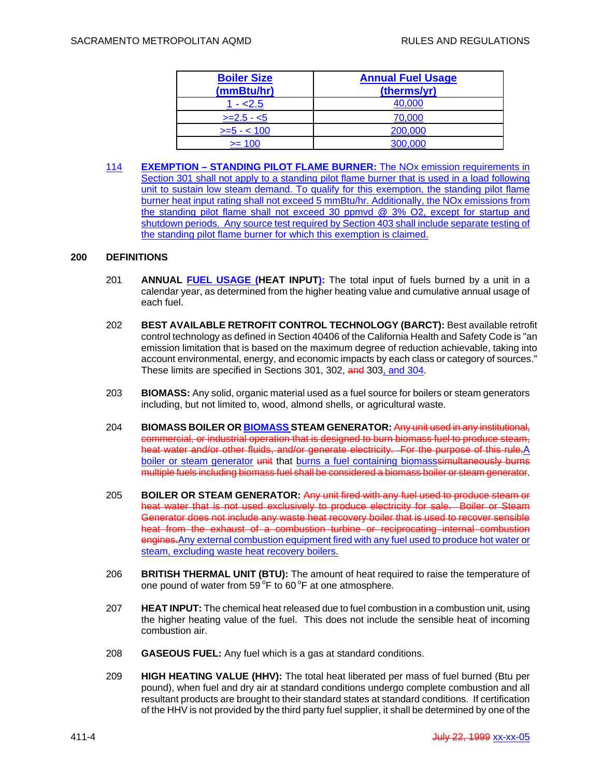| <b>Boiler Size</b><br>(mmBtu/hr) | <b>Annual Fuel Usage</b><br>(therms/yr) |
|----------------------------------|-----------------------------------------|
| $1 - 2.5$                        | 40,000                                  |
| $>=2.5 - 5$                      | 70,000                                  |
| $>= 5 - 100$                     | 200,000                                 |
| $>= 100$                         | 300,000                                 |

114 **EXEMPTION – STANDING PILOT FLAME BURNER:** The NOx emission requirements in Section 301 shall not apply to a standing pilot flame burner that is used in a load following unit to sustain low steam demand. To qualify for this exemption, the standing pilot flame burner heat input rating shall not exceed 5 mmBtu/hr. Additionally, the NOx emissions from the standing pilot flame shall not exceed 30 ppmvd @ 3% O2, except for startup and shutdown periods. Any source test required by Section 403 shall include separate testing of the standing pilot flame burner for which this exemption is claimed.

## **200 DEFINITIONS**

- 201 **ANNUAL FUEL USAGE (HEAT INPUT):** The total input of fuels burned by a unit in a calendar year, as determined from the higher heating value and cumulative annual usage of each fuel.
- 202 **BEST AVAILABLE RETROFIT CONTROL TECHNOLOGY (BARCT):** Best available retrofit control technology as defined in Section 40406 of the California Health and Safety Code is "an emission limitation that is based on the maximum degree of reduction achievable, taking into account environmental, energy, and economic impacts by each class or category of sources." These limits are specified in Sections 301, 302, and 303, and 304.
- 203 **BIOMASS:** Any solid, organic material used as a fuel source for boilers or steam generators including, but not limited to, wood, almond shells, or agricultural waste.
- 204 **BIOMASS BOILER OR BIOMASS STEAM GENERATOR:** Any unit used in any institutional, commercial, or industrial operation that is designed to burn biomass fuel to produce steam, heat water and/or other fluids, and/or generate electricity. For the purpose of this rule, A boiler or steam generator unit that burns a fuel containing biomasssimultaneously burns multiple fuels including biomass fuel shall be considered a biomass boiler or steam generator.
- 205 **BOILER OR STEAM GENERATOR:** Any unit fired with any fuel used to produce steam or heat water that is not used exclusively to produce electricity for sale. Boiler or Steam Generator does not include any waste heat recovery boiler that is used to recover sensible heat from the exhaust of a combustion turbine or reciprocating internal combustion engines. Any external combustion equipment fired with any fuel used to produce hot water or steam, excluding waste heat recovery boilers.
- 206 **BRITISH THERMAL UNIT (BTU):** The amount of heat required to raise the temperature of one pound of water from  $59^{\circ}$ F to 60 °F at one atmosphere.
- 207 **HEAT INPUT:** The chemical heat released due to fuel combustion in a combustion unit, using the higher heating value of the fuel. This does not include the sensible heat of incoming combustion air.
- 208 **GASEOUS FUEL:** Any fuel which is a gas at standard conditions.
- 209 **HIGH HEATING VALUE (HHV):** The total heat liberated per mass of fuel burned (Btu per pound), when fuel and dry air at standard conditions undergo complete combustion and all resultant products are brought to their standard states at standard conditions. If certification of the HHV is not provided by the third party fuel supplier, it shall be determined by one of the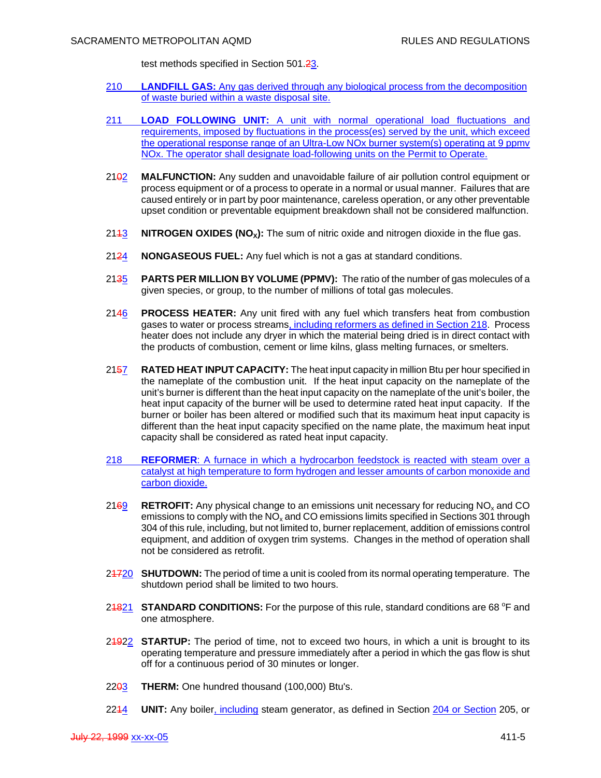test methods specified in Section 501.23.

- 210 **LANDFILL GAS:** Any gas derived through any biological process from the decomposition of waste buried within a waste disposal site.
- 211 **LOAD FOLLOWING UNIT:** A unit with normal operational load fluctuations and requirements, imposed by fluctuations in the process(es) served by the unit, which exceed the operational response range of an Ultra-Low NOx burner system(s) operating at 9 ppmv NOx. The operator shall designate load-following units on the Permit to Operate.
- 2102 **MALFUNCTION:** Any sudden and unavoidable failure of air pollution control equipment or process equipment or of a process to operate in a normal or usual manner. Failures that are caused entirely or in part by poor maintenance, careless operation, or any other preventable upset condition or preventable equipment breakdown shall not be considered malfunction.
- 2143 **NITROGEN OXIDES (NO<sub>x</sub>):** The sum of nitric oxide and nitrogen dioxide in the flue gas.
- 2124 **NONGASEOUS FUEL:** Any fuel which is not a gas at standard conditions.
- 2135 **PARTS PER MILLION BY VOLUME (PPMV):** The ratio of the number of gas molecules of a given species, or group, to the number of millions of total gas molecules.
- 2146 **PROCESS HEATER:** Any unit fired with any fuel which transfers heat from combustion gases to water or process streams, including reformers as defined in Section 218. Process heater does not include any dryer in which the material being dried is in direct contact with the products of combustion, cement or lime kilns, glass melting furnaces, or smelters.
- 2157 **RATED HEAT INPUT CAPACITY:** The heat input capacity in million Btu per hour specified in the nameplate of the combustion unit. If the heat input capacity on the nameplate of the unit's burner is different than the heat input capacity on the nameplate of the unit's boiler, the heat input capacity of the burner will be used to determine rated heat input capacity. If the burner or boiler has been altered or modified such that its maximum heat input capacity is different than the heat input capacity specified on the name plate, the maximum heat input capacity shall be considered as rated heat input capacity.
- 218 **REFORMER**: A furnace in which a hydrocarbon feedstock is reacted with steam over a catalyst at high temperature to form hydrogen and lesser amounts of carbon monoxide and carbon dioxide.
- 2169 **RETROFIT:** Any physical change to an emissions unit necessary for reducing NOx and CO emissions to comply with the  $NO<sub>x</sub>$  and CO emissions limits specified in Sections 301 through 304 of this rule, including, but not limited to, burner replacement, addition of emissions control equipment, and addition of oxygen trim systems. Changes in the method of operation shall not be considered as retrofit.
- 21720 **SHUTDOWN:** The period of time a unit is cooled from its normal operating temperature. The shutdown period shall be limited to two hours.
- 24821 **STANDARD CONDITIONS:** For the purpose of this rule, standard conditions are 68 °F and one atmosphere.
- 21922 **STARTUP:** The period of time, not to exceed two hours, in which a unit is brought to its operating temperature and pressure immediately after a period in which the gas flow is shut off for a continuous period of 30 minutes or longer.
- 22<del>03</del> THERM: One hundred thousand (100,000) Btu's.
- 2214 **UNIT:** Any boiler, including steam generator, as defined in Section 204 or Section 205, or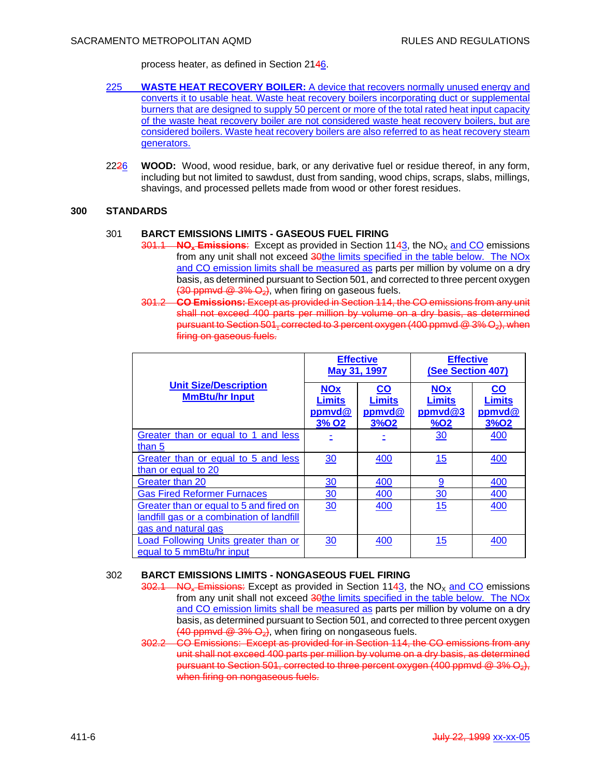process heater, as defined in Section 2146.

- 225 **WASTE HEAT RECOVERY BOILER:** A device that recovers normally unused energy and converts it to usable heat. Waste heat recovery boilers incorporating duct or supplemental burners that are designed to supply 50 percent or more of the total rated heat input capacity of the waste heat recovery boiler are not considered waste heat recovery boilers, but are considered boilers. Waste heat recovery boilers are also referred to as heat recovery steam generators.
- 2226 **WOOD:** Wood, wood residue, bark, or any derivative fuel or residue thereof, in any form, including but not limited to sawdust, dust from sanding, wood chips, scraps, slabs, millings, shavings, and processed pellets made from wood or other forest residues.

## **300 STANDARDS**

#### 301 **BARCT EMISSIONS LIMITS - GASEOUS FUEL FIRING**

- $301.1$  NO<sub>x</sub> Emissions: Except as provided in Section 1143, the NO<sub>X</sub> and CO emissions from any unit shall not exceed 30the limits specified in the table below. The NOx and CO emission limits shall be measured as parts per million by volume on a dry basis, as determined pursuant to Section 501, and corrected to three percent oxygen  $(30$  ppmvd  $(2, 3\%)$ , when firing on gaseous fuels.
- 301.2 **CO Emissions:** Except as provided in Section 114, the CO emissions from any unit shall not exceed 400 parts per million by volume on a dry basis, as determined pursuant to Section 501, corrected to 3 percent oxygen (400 ppmvd @ 3% O2), when firing on gaseous fuels.

|                                                                                                             | <b>Effective</b><br>May 31, 1997                      |                                                                         | <b>Effective</b><br>(See Section 407)                        |                                              |
|-------------------------------------------------------------------------------------------------------------|-------------------------------------------------------|-------------------------------------------------------------------------|--------------------------------------------------------------|----------------------------------------------|
| <b>Unit Size/Description</b><br><b>MmBtu/hr Input</b>                                                       | <b>NOx</b><br>Limits<br>ppmvd@<br>$3%$ O <sub>2</sub> | $\overline{\mathbf{co}}$<br><b>Limits</b><br>ppmvd@<br>3%O <sub>2</sub> | <b>NOx</b><br><b>Limits</b><br>ppmvd@3<br>$%$ O <sub>2</sub> | <u>co</u><br>Limits<br>ppmvd@<br><b>3%02</b> |
| Greater than or equal to 1 and less<br>than 5                                                               |                                                       |                                                                         | 30                                                           | 400                                          |
| Greater than or equal to 5 and less<br>than or equal to 20                                                  | 30                                                    | 400                                                                     | 15                                                           | 400                                          |
| Greater than 20                                                                                             | 30                                                    | 400                                                                     | 9                                                            | 400                                          |
| <b>Gas Fired Reformer Furnaces</b>                                                                          | $\frac{30}{2}$                                        | 400                                                                     | $\frac{30}{2}$                                               | 400                                          |
| Greater than or equal to 5 and fired on<br>landfill gas or a combination of landfill<br>gas and natural gas | 30                                                    | 400                                                                     | 15                                                           | 400                                          |
| Load Following Units greater than or<br>equal to 5 mmBtu/hr input                                           | 30                                                    | 400                                                                     | 15                                                           | 400                                          |

## 302 **BARCT EMISSIONS LIMITS - NONGASEOUS FUEL FIRING**

- $302.1$  NO<sub>x</sub> Emissions: Except as provided in Section 1143, the NO<sub>x</sub> and CO emissions from any unit shall not exceed 30the limits specified in the table below. The NOx and CO emission limits shall be measured as parts per million by volume on a dry basis, as determined pursuant to Section 501, and corrected to three percent oxygen  $(40$  ppmvd  $(2, 3\%)$ , when firing on nongaseous fuels.
- 302.2 CO Emissions: Except as provided for in Section 114, the CO emissions from any unit shall not exceed 400 parts per million by volume on a dry basis, as determined pursuant to Section 501, corrected to three percent oxygen (400 ppmvd  $@$  3%  $\Theta_2$ ), when firing on nongaseous fuels.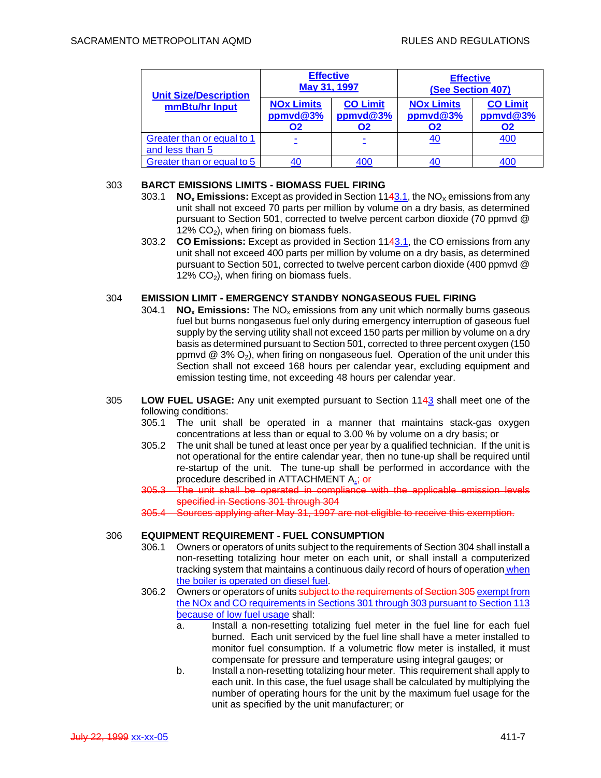| <b>Unit Size/Description</b>                  | <b>Effective</b><br>May 31, 1997    |                                   | <b>Effective</b><br>(See Section 407)      |                                   |
|-----------------------------------------------|-------------------------------------|-----------------------------------|--------------------------------------------|-----------------------------------|
| mmBtu/hr Input                                | <b>NOx Limits</b><br>ppmvd@3%<br>O2 | <b>CO Limit</b><br>ppmvd@3%<br>О2 | <b>NOx Limits</b><br>ppmvd@3%<br><b>O2</b> | <b>CO Limit</b><br>ppmvd@3%<br>O2 |
| Greater than or equal to 1<br>and less than 5 |                                     |                                   | 40                                         | 400                               |
| Greater than or equal to 5                    |                                     | 400                               |                                            | 400                               |

## 303 **BARCT EMISSIONS LIMITS - BIOMASS FUEL FIRING**

- 303.1 **NO<sub>x</sub> Emissions:** Except as provided in Section 1143.1, the NO<sub>x</sub> emissions from any unit shall not exceed 70 parts per million by volume on a dry basis, as determined pursuant to Section 501, corrected to twelve percent carbon dioxide (70 ppmvd @ 12%  $CO<sub>2</sub>$ ), when firing on biomass fuels.
- 303.2 **CO Emissions:** Except as provided in Section 1143.1, the CO emissions from any unit shall not exceed 400 parts per million by volume on a dry basis, as determined pursuant to Section 501, corrected to twelve percent carbon dioxide (400 ppmvd @  $12\%$  CO<sub>2</sub>), when firing on biomass fuels.

## 304 **EMISSION LIMIT - EMERGENCY STANDBY NONGASEOUS FUEL FIRING**

- 304.1 **NOx Emissions:** The NOx emissions from any unit which normally burns gaseous fuel but burns nongaseous fuel only during emergency interruption of gaseous fuel supply by the serving utility shall not exceed 150 parts per million by volume on a dry basis as determined pursuant to Section 501, corrected to three percent oxygen (150 ppmvd  $\textcircled{2}$  3%  $\textcircled{2}$ , when firing on nongaseous fuel. Operation of the unit under this Section shall not exceed 168 hours per calendar year, excluding equipment and emission testing time, not exceeding 48 hours per calendar year.
- 305 **LOW FUEL USAGE:** Any unit exempted pursuant to Section 1143 shall meet one of the following conditions:
	- 305.1 The unit shall be operated in a manner that maintains stack-gas oxygen concentrations at less than or equal to 3.00 % by volume on a dry basis; or
	- 305.2 The unit shall be tuned at least once per year by a qualified technician. If the unit is not operational for the entire calendar year, then no tune-up shall be required until re-startup of the unit. The tune-up shall be performed in accordance with the procedure described in ATTACHMENT A.: or
	- 305.3 The unit shall be operated in compliance with the applicable emission levels specified in Sections 301 through 304
	- 305.4 Sources applying after May 31, 1997 are not eligible to receive this exemption.

## 306 **EQUIPMENT REQUIREMENT - FUEL CONSUMPTION**

- 306.1 Owners or operators of units subject to the requirements of Section 304 shall install a non-resetting totalizing hour meter on each unit, or shall install a computerized tracking system that maintains a continuous daily record of hours of operation when the boiler is operated on diesel fuel.
- 306.2 Owners or operators of units subject to the requirements of Section 305 exempt from the NOx and CO requirements in Sections 301 through 303 pursuant to Section 113 because of low fuel usage shall:
	- a. Install a non-resetting totalizing fuel meter in the fuel line for each fuel burned. Each unit serviced by the fuel line shall have a meter installed to monitor fuel consumption. If a volumetric flow meter is installed, it must compensate for pressure and temperature using integral gauges; or
	- b. Install a non-resetting totalizing hour meter. This requirement shall apply to each unit. In this case, the fuel usage shall be calculated by multiplying the number of operating hours for the unit by the maximum fuel usage for the unit as specified by the unit manufacturer; or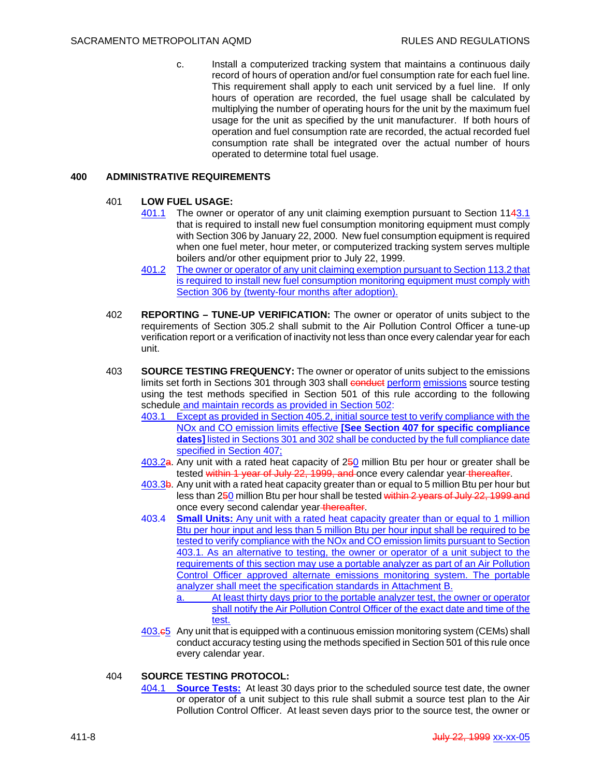c. Install a computerized tracking system that maintains a continuous daily record of hours of operation and/or fuel consumption rate for each fuel line. This requirement shall apply to each unit serviced by a fuel line. If only hours of operation are recorded, the fuel usage shall be calculated by multiplying the number of operating hours for the unit by the maximum fuel usage for the unit as specified by the unit manufacturer. If both hours of operation and fuel consumption rate are recorded, the actual recorded fuel consumption rate shall be integrated over the actual number of hours operated to determine total fuel usage.

## **400 ADMINISTRATIVE REQUIREMENTS**

#### 401 **LOW FUEL USAGE:**

- 401.1 The owner or operator of any unit claiming exemption pursuant to Section 1143.1 that is required to install new fuel consumption monitoring equipment must comply with Section 306 by January 22, 2000. New fuel consumption equipment is required when one fuel meter, hour meter, or computerized tracking system serves multiple boilers and/or other equipment prior to July 22, 1999.
- 401.2 The owner or operator of any unit claiming exemption pursuant to Section 113.2 that is required to install new fuel consumption monitoring equipment must comply with Section 306 by (twenty-four months after adoption).
- 402 **REPORTING TUNE-UP VERIFICATION:** The owner or operator of units subject to the requirements of Section 305.2 shall submit to the Air Pollution Control Officer a tune-up verification report or a verification of inactivity not less than once every calendar year for each unit.
- 403 **SOURCE TESTING FREQUENCY:** The owner or operator of units subject to the emissions limits set forth in Sections 301 through 303 shall conduct perform emissions source testing using the test methods specified in Section 501 of this rule according to the following schedule and maintain records as provided in Section 502:
	- 403.1 Except as provided in Section 405.2, initial source test to verify compliance with the NOx and CO emission limits effective **[See Section 407 for specific compliance dates]** listed in Sections 301 and 302 shall be conducted by the full compliance date specified in Section 407;
	- 403.2a. Any unit with a rated heat capacity of 250 million Btu per hour or greater shall be tested within 1 year of July 22, 1999, and once every calendar year thereafter.
	- 403.3b. Any unit with a rated heat capacity greater than or equal to 5 million Btu per hour but less than 250 million Btu per hour shall be tested within 2 years of July 22, 1999 and once every second calendar year thereafter.
	- 403.4 **Small Units:** Any unit with a rated heat capacity greater than or equal to 1 million Btu per hour input and less than 5 million Btu per hour input shall be required to be tested to verify compliance with the NOx and CO emission limits pursuant to Section 403.1. As an alternative to testing, the owner or operator of a unit subject to the requirements of this section may use a portable analyzer as part of an Air Pollution Control Officer approved alternate emissions monitoring system. The portable analyzer shall meet the specification standards in Attachment B.
		- a. At least thirty days prior to the portable analyzer test, the owner or operator shall notify the Air Pollution Control Officer of the exact date and time of the test.
	- 403.c5 Any unit that is equipped with a continuous emission monitoring system (CEMs) shall conduct accuracy testing using the methods specified in Section 501 of this rule once every calendar year.

## 404 **SOURCE TESTING PROTOCOL:**

404.1 **Source Tests:** At least 30 days prior to the scheduled source test date, the owner or operator of a unit subject to this rule shall submit a source test plan to the Air Pollution Control Officer. At least seven days prior to the source test, the owner or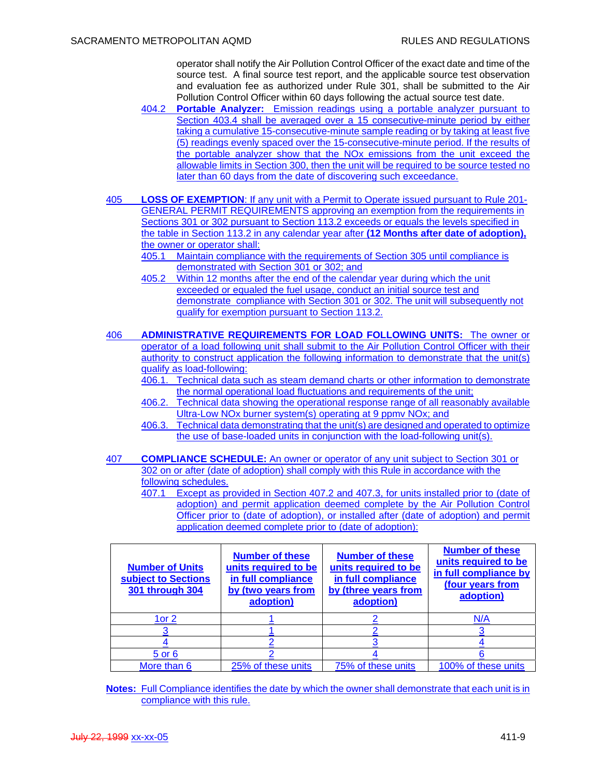operator shall notify the Air Pollution Control Officer of the exact date and time of the source test. A final source test report, and the applicable source test observation and evaluation fee as authorized under Rule 301, shall be submitted to the Air Pollution Control Officer within 60 days following the actual source test date.

- 404.2 **Portable Analyzer:** Emission readings using a portable analyzer pursuant to Section 403.4 shall be averaged over a 15 consecutive-minute period by either taking a cumulative 15-consecutive-minute sample reading or by taking at least five (5) readings evenly spaced over the 15-consecutive-minute period. If the results of the portable analyzer show that the NOx emissions from the unit exceed the allowable limits in Section 300, then the unit will be required to be source tested no later than 60 days from the date of discovering such exceedance.
- 405 **LOSS OF EXEMPTION**: If any unit with a Permit to Operate issued pursuant to Rule 201- GENERAL PERMIT REQUIREMENTS approving an exemption from the requirements in Sections 301 or 302 pursuant to Section 113.2 exceeds or equals the levels specified in the table in Section 113.2 in any calendar year after **(12 Months after date of adoption),** the owner or operator shall:
	- 405.1 Maintain compliance with the requirements of Section 305 until compliance is demonstrated with Section 301 or 302; and
	- 405.2 Within 12 months after the end of the calendar year during which the unit exceeded or equaled the fuel usage, conduct an initial source test and demonstrate compliance with Section 301 or 302. The unit will subsequently not qualify for exemption pursuant to Section 113.2.
- 406 **ADMINISTRATIVE REQUIREMENTS FOR LOAD FOLLOWING UNITS:** The owner or operator of a load following unit shall submit to the Air Pollution Control Officer with their authority to construct application the following information to demonstrate that the unit(s) qualify as load-following:
	- 406.1. Technical data such as steam demand charts or other information to demonstrate the normal operational load fluctuations and requirements of the unit;
	- 406.2. Technical data showing the operational response range of all reasonably available Ultra-Low NOx burner system(s) operating at 9 ppmv NOx; and
	- 406.3. Technical data demonstrating that the unit(s) are designed and operated to optimize the use of base-loaded units in conjunction with the load-following unit(s).
- 407 **COMPLIANCE SCHEDULE:** An owner or operator of any unit subject to Section 301 or 302 on or after (date of adoption) shall comply with this Rule in accordance with the following schedules.
	- 407.1 Except as provided in Section 407.2 and 407.3, for units installed prior to (date of adoption) and permit application deemed complete by the Air Pollution Control Officer prior to (date of adoption), or installed after (date of adoption) and permit application deemed complete prior to (date of adoption):

| <b>Number of Units</b><br>subject to Sections<br>301 through 304 | <b>Number of these</b><br>units required to be<br>in full compliance<br>by (two years from<br>adoption) | <b>Number of these</b><br>units required to be<br>in full compliance<br>by (three years from<br>adoption) | <b>Number of these</b><br>units required to be<br>in full compliance by<br>(four years from<br>adoption) |
|------------------------------------------------------------------|---------------------------------------------------------------------------------------------------------|-----------------------------------------------------------------------------------------------------------|----------------------------------------------------------------------------------------------------------|
| 1or $2$                                                          |                                                                                                         |                                                                                                           | N/A                                                                                                      |
|                                                                  |                                                                                                         |                                                                                                           |                                                                                                          |
|                                                                  |                                                                                                         |                                                                                                           |                                                                                                          |
| 5 or 6                                                           |                                                                                                         |                                                                                                           |                                                                                                          |
| More than 6                                                      | 25% of these units                                                                                      | 75% of these units                                                                                        | 100% of these units                                                                                      |

**Notes:** Full Compliance identifies the date by which the owner shall demonstrate that each unit is in compliance with this rule.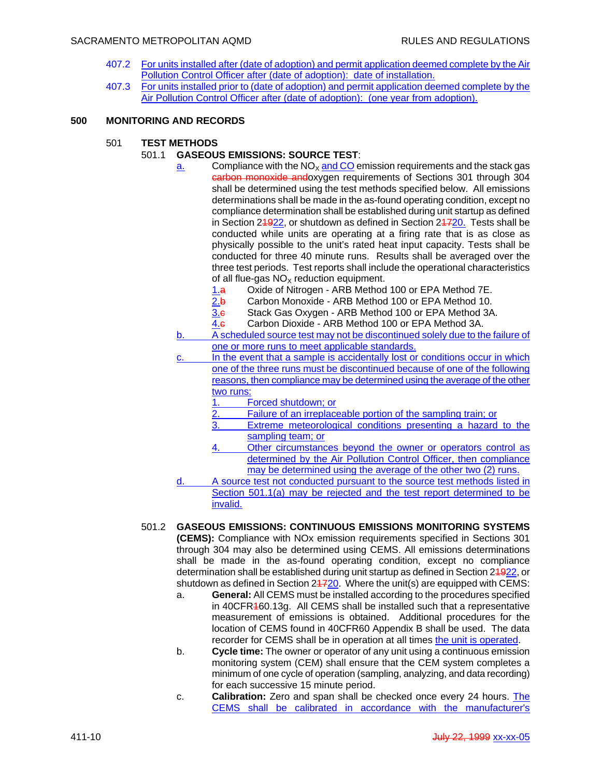#### SACRAMENTO METROPOLITAN AQMD **RULES** AND REGULATIONS

- 407.2 For units installed after (date of adoption) and permit application deemed complete by the Air Pollution Control Officer after (date of adoption): date of installation.
- 407.3 For units installed prior to (date of adoption) and permit application deemed complete by the Air Pollution Control Officer after (date of adoption): (one year from adoption).

## **500 MONITORING AND RECORDS**

- 501 **TEST METHODS** 
	- 501.1 **GASEOUS EMISSIONS: SOURCE TEST**:
		- $\frac{a}{2}$  Compliance with the NO<sub>x</sub> and CO emission requirements and the stack gas carbon monoxide andoxygen requirements of Sections 301 through 304 shall be determined using the test methods specified below. All emissions determinations shall be made in the as-found operating condition, except no compliance determination shall be established during unit startup as defined in Section 21922, or shutdown as defined in Section 21720. Tests shall be conducted while units are operating at a firing rate that is as close as physically possible to the unit's rated heat input capacity. Tests shall be conducted for three 40 minute runs. Results shall be averaged over the three test periods. Test reports shall include the operational characteristics of all flue-gas  $NO<sub>x</sub>$  reduction equipment.
			- 1.a Oxide of Nitrogen ARB Method 100 or EPA Method 7E.
			- 2.b Carbon Monoxide ARB Method 100 or EPA Method 10.
			- 3.c Stack Gas Oxygen ARB Method 100 or EPA Method 3A.
			- 4.c Carbon Dioxide ARB Method 100 or EPA Method 3A.
		- b. A scheduled source test may not be discontinued solely due to the failure of one or more runs to meet applicable standards.
		- c. In the event that a sample is accidentally lost or conditions occur in which one of the three runs must be discontinued because of one of the following reasons, then compliance may be determined using the average of the other two runs:
			- 1. Forced shutdown; or
			- 2. Failure of an irreplaceable portion of the sampling train; or
			- 3. Extreme meteorological conditions presenting a hazard to the sampling team; or
			- 4. Other circumstances beyond the owner or operators control as determined by the Air Pollution Control Officer, then compliance may be determined using the average of the other two (2) runs.
		- d. A source test not conducted pursuant to the source test methods listed in Section 501.1(a) may be rejected and the test report determined to be invalid.
	- 501.2 **GASEOUS EMISSIONS: CONTINUOUS EMISSIONS MONITORING SYSTEMS (CEMS):** Compliance with NOx emission requirements specified in Sections 301 through 304 may also be determined using CEMS. All emissions determinations shall be made in the as-found operating condition, except no compliance determination shall be established during unit startup as defined in Section 24922, or shutdown as defined in Section  $24720$ . Where the unit(s) are equipped with CEMS:
		- a. **General:** All CEMS must be installed according to the procedures specified in 40CFR460.13g. All CEMS shall be installed such that a representative measurement of emissions is obtained. Additional procedures for the location of CEMS found in 40CFR60 Appendix B shall be used. The data recorder for CEMS shall be in operation at all times the unit is operated.
		- b. **Cycle time:** The owner or operator of any unit using a continuous emission monitoring system (CEM) shall ensure that the CEM system completes a minimum of one cycle of operation (sampling, analyzing, and data recording) for each successive 15 minute period.
		- c. **Calibration:** Zero and span shall be checked once every 24 hours. The CEMS shall be calibrated in accordance with the manufacturer's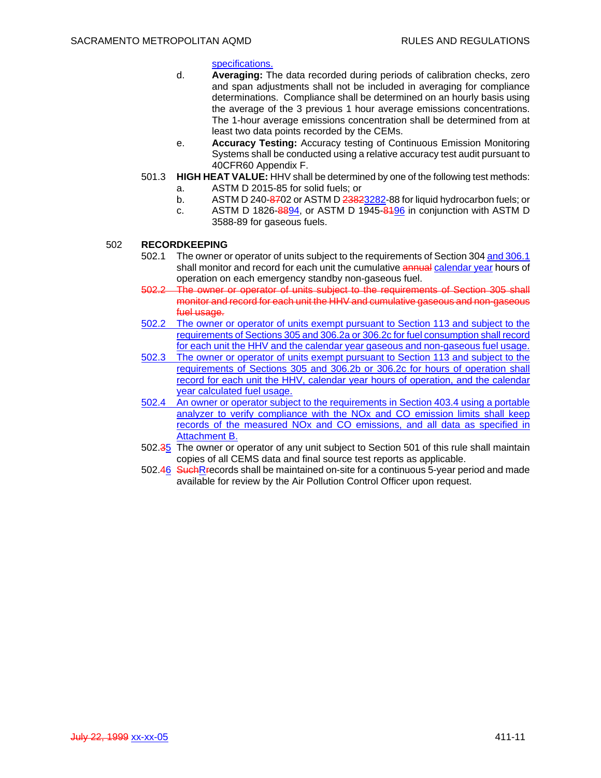#### specifications.

- d. **Averaging:** The data recorded during periods of calibration checks, zero and span adjustments shall not be included in averaging for compliance determinations. Compliance shall be determined on an hourly basis using the average of the 3 previous 1 hour average emissions concentrations. The 1-hour average emissions concentration shall be determined from at least two data points recorded by the CEMs.
- e. **Accuracy Testing:** Accuracy testing of Continuous Emission Monitoring Systems shall be conducted using a relative accuracy test audit pursuant to 40CFR60 Appendix F.
- 501.3 **HIGH HEAT VALUE:** HHV shall be determined by one of the following test methods:
	- a. ASTM D 2015-85 for solid fuels; or
	- b. ASTM D 240-8702 or ASTM D 23823282-88 for liquid hydrocarbon fuels; or
	- c. ASTM D 1826-8894, or ASTM D 1945-8496 in conjunction with ASTM D 3588-89 for gaseous fuels.

## 502 **RECORDKEEPING**

- 502.1 The owner or operator of units subject to the requirements of Section 304 and 306.1 shall monitor and record for each unit the cumulative annual calendar year hours of operation on each emergency standby non-gaseous fuel.
- 502.2 The owner or operator of units subject to the requirements of Section 305 shall monitor and record for each unit the HHV and cumulative gaseous and non-gaseous fuel usage.
- 502.2 The owner or operator of units exempt pursuant to Section 113 and subject to the requirements of Sections 305 and 306.2a or 306.2c for fuel consumption shall record for each unit the HHV and the calendar year gaseous and non-gaseous fuel usage.
- 502.3 The owner or operator of units exempt pursuant to Section 113 and subject to the requirements of Sections 305 and 306.2b or 306.2c for hours of operation shall record for each unit the HHV, calendar year hours of operation, and the calendar year calculated fuel usage.
- 502.4 An owner or operator subject to the requirements in Section 403.4 using a portable analyzer to verify compliance with the NOx and CO emission limits shall keep records of the measured NOx and CO emissions, and all data as specified in Attachment B.
- 502.35 The owner or operator of any unit subject to Section 501 of this rule shall maintain copies of all CEMS data and final source test reports as applicable.
- 502.46 SuchRrecords shall be maintained on-site for a continuous 5-year period and made available for review by the Air Pollution Control Officer upon request.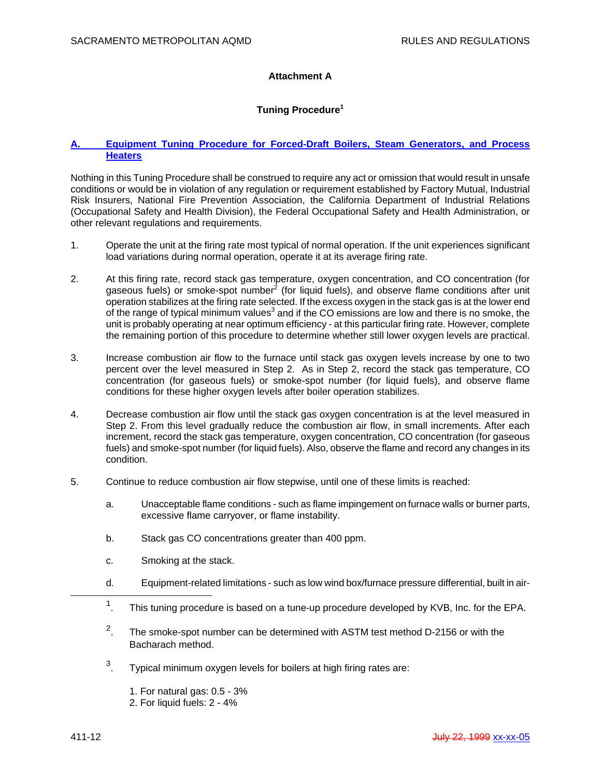# **Attachment A**

# **Tuning Procedure1**

## **A. Equipment Tuning Procedure for Forced-Draft Boilers, Steam Generators, and Process Heaters**

Nothing in this Tuning Procedure shall be construed to require any act or omission that would result in unsafe conditions or would be in violation of any regulation or requirement established by Factory Mutual, Industrial Risk Insurers, National Fire Prevention Association, the California Department of Industrial Relations (Occupational Safety and Health Division), the Federal Occupational Safety and Health Administration, or other relevant regulations and requirements.

- 1. Operate the unit at the firing rate most typical of normal operation. If the unit experiences significant load variations during normal operation, operate it at its average firing rate.
- 2. At this firing rate, record stack gas temperature, oxygen concentration, and CO concentration (for gaseous fuels) or smoke-spot number<sup>2</sup> (for liquid fuels), and observe flame conditions after unit operation stabilizes at the firing rate selected. If the excess oxygen in the stack gas is at the lower end of the range of typical minimum values<sup>3</sup> and if the CO emissions are low and there is no smoke, the unit is probably operating at near optimum efficiency - at this particular firing rate. However, complete the remaining portion of this procedure to determine whether still lower oxygen levels are practical.
- 3. Increase combustion air flow to the furnace until stack gas oxygen levels increase by one to two percent over the level measured in Step 2. As in Step 2, record the stack gas temperature, CO concentration (for gaseous fuels) or smoke-spot number (for liquid fuels), and observe flame conditions for these higher oxygen levels after boiler operation stabilizes.
- 4. Decrease combustion air flow until the stack gas oxygen concentration is at the level measured in Step 2. From this level gradually reduce the combustion air flow, in small increments. After each increment, record the stack gas temperature, oxygen concentration, CO concentration (for gaseous fuels) and smoke-spot number (for liquid fuels). Also, observe the flame and record any changes in its condition.
- 5. Continue to reduce combustion air flow stepwise, until one of these limits is reached:
	- a. Unacceptable flame conditions such as flame impingement on furnace walls or burner parts, excessive flame carryover, or flame instability.
	- b. Stack gas CO concentrations greater than 400 ppm.
	- c. Smoking at the stack.
	- d. Equipment-related limitations such as low wind box/furnace pressure differential, built in air-
- $\overline{\phantom{a}}$  $1$ . This tuning procedure is based on a tune-up procedure developed by KVB, Inc. for the EPA.
- <sup>2</sup> <sup>2</sup>. The smoke-spot number can be determined with ASTM test method D-2156 or with the Bacharach method.
- <sup>3</sup>  $3.$  Typical minimum oxygen levels for boilers at high firing rates are:
	- 1. For natural gas: 0.5 3%
	- 2. For liquid fuels: 2 4%

i<br>Li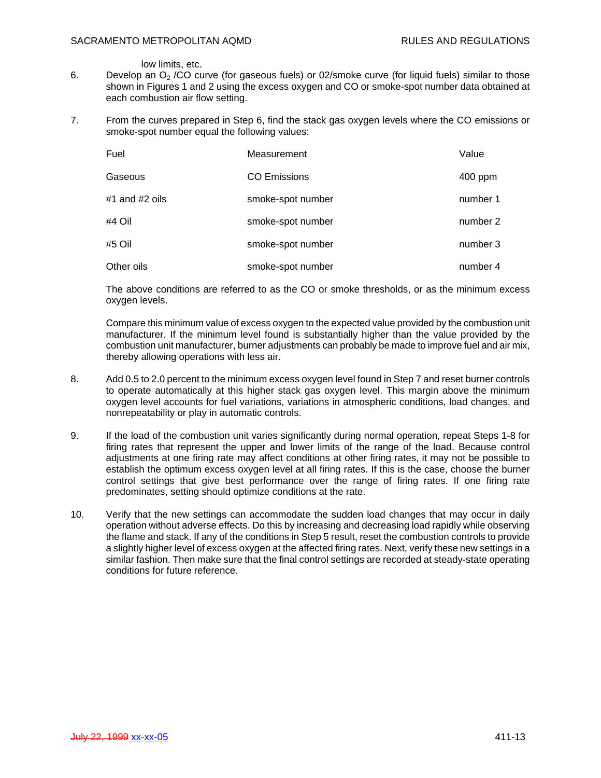low limits, etc.

- 6. Develop an  $O<sub>2</sub>$  /CO curve (for gaseous fuels) or 02/smoke curve (for liquid fuels) similar to those shown in Figures 1 and 2 using the excess oxygen and CO or smoke-spot number data obtained at each combustion air flow setting.
- 7. From the curves prepared in Step 6, find the stack gas oxygen levels where the CO emissions or smoke-spot number equal the following values:

| Fuel           | Measurement         | Value    |
|----------------|---------------------|----------|
| Gaseous        | <b>CO Emissions</b> | 400 ppm  |
| #1 and #2 oils | smoke-spot number   | number 1 |
| #4 Oil         | smoke-spot number   | number 2 |
| #5 Oil         | smoke-spot number   | number 3 |
| Other oils     | smoke-spot number   | number 4 |

The above conditions are referred to as the CO or smoke thresholds, or as the minimum excess oxygen levels.

Compare this minimum value of excess oxygen to the expected value provided by the combustion unit manufacturer. If the minimum level found is substantially higher than the value provided by the combustion unit manufacturer, burner adjustments can probably be made to improve fuel and air mix, thereby allowing operations with less air.

- 8. Add 0.5 to 2.0 percent to the minimum excess oxygen level found in Step 7 and reset burner controls to operate automatically at this higher stack gas oxygen level. This margin above the minimum oxygen level accounts for fuel variations, variations in atmospheric conditions, load changes, and nonrepeatability or play in automatic controls.
- 9. If the load of the combustion unit varies significantly during normal operation, repeat Steps 1-8 for firing rates that represent the upper and lower limits of the range of the load. Because control adjustments at one firing rate may affect conditions at other firing rates, it may not be possible to establish the optimum excess oxygen level at all firing rates. If this is the case, choose the burner control settings that give best performance over the range of firing rates. If one firing rate predominates, setting should optimize conditions at the rate.
- 10. Verify that the new settings can accommodate the sudden load changes that may occur in daily operation without adverse effects. Do this by increasing and decreasing load rapidly while observing the flame and stack. If any of the conditions in Step 5 result, reset the combustion controls to provide a slightly higher level of excess oxygen at the affected firing rates. Next, verify these new settings in a similar fashion. Then make sure that the final control settings are recorded at steady-state operating conditions for future reference.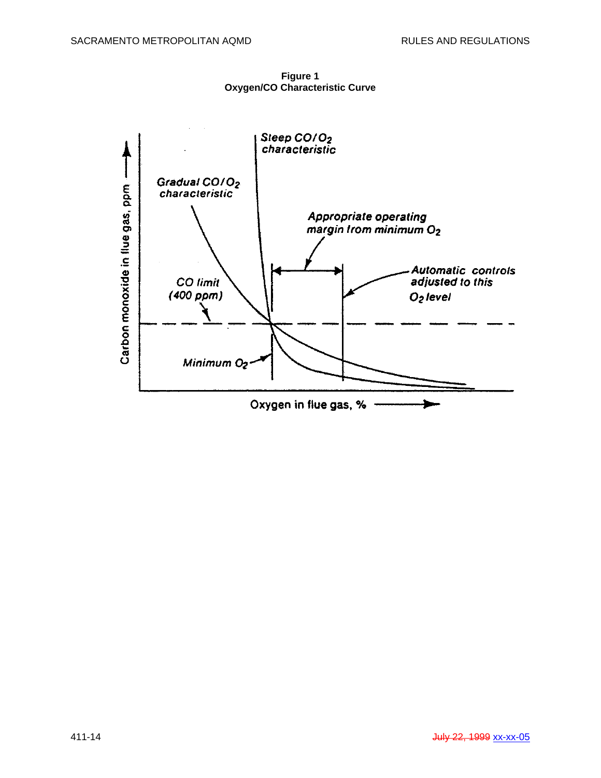**Figure 1 Oxygen/CO Characteristic Curve**

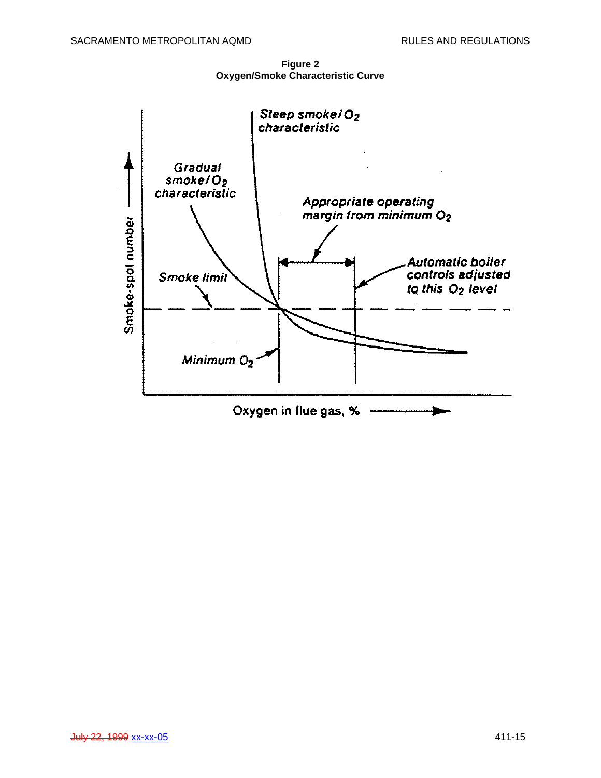**Figure 2 Oxygen/Smoke Characteristic Curve** 

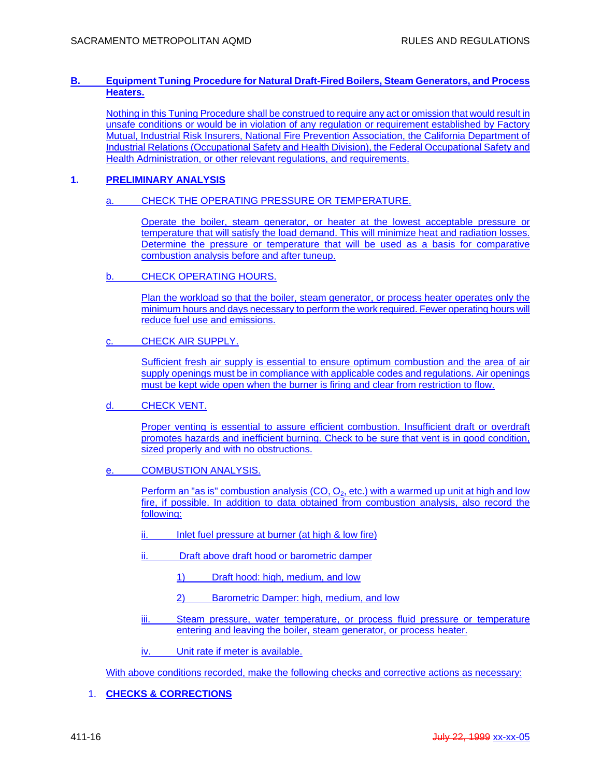## **B. Equipment Tuning Procedure for Natural Draft-Fired Boilers, Steam Generators, and Process Heaters.**

Nothing in this Tuning Procedure shall be construed to require any act or omission that would result in unsafe conditions or would be in violation of any regulation or requirement established by Factory Mutual, Industrial Risk Insurers, National Fire Prevention Association, the California Department of Industrial Relations (Occupational Safety and Health Division), the Federal Occupational Safety and Health Administration, or other relevant regulations, and requirements.

## **1. PRELIMINARY ANALYSIS**

## a. CHECK THE OPERATING PRESSURE OR TEMPERATURE.

Operate the boiler, steam generator, or heater at the lowest acceptable pressure or temperature that will satisfy the load demand. This will minimize heat and radiation losses. Determine the pressure or temperature that will be used as a basis for comparative combustion analysis before and after tuneup.

b. CHECK OPERATING HOURS.

Plan the workload so that the boiler, steam generator, or process heater operates only the minimum hours and days necessary to perform the work required. Fewer operating hours will reduce fuel use and emissions.

c. CHECK AIR SUPPLY.

Sufficient fresh air supply is essential to ensure optimum combustion and the area of air supply openings must be in compliance with applicable codes and regulations. Air openings must be kept wide open when the burner is firing and clear from restriction to flow.

d. CHECK VENT.

Proper venting is essential to assure efficient combustion. Insufficient draft or overdraft promotes hazards and inefficient burning. Check to be sure that vent is in good condition, sized properly and with no obstructions.

e. **COMBUSTION ANALYSIS.** 

Perform an "as is" combustion analysis (CO,  $O_2$ , etc.) with a warmed up unit at high and low fire, if possible. In addition to data obtained from combustion analysis, also record the following:

- ii. Inlet fuel pressure at burner (at high & low fire)
- ii. Draft above draft hood or barometric damper
	- 1) Draft hood: high, medium, and low
	- 2) Barometric Damper: high, medium, and low
- iii. Steam pressure, water temperature, or process fluid pressure or temperature entering and leaving the boiler, steam generator, or process heater.
- iv. Unit rate if meter is available.

With above conditions recorded, make the following checks and corrective actions as necessary:

1. **CHECKS & CORRECTIONS**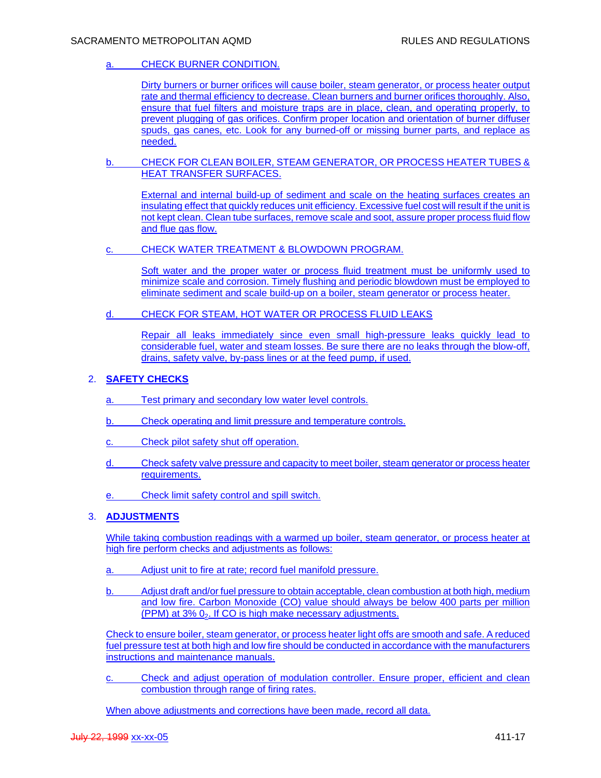# a. CHECK BURNER CONDITION.

Dirty burners or burner orifices will cause boiler, steam generator, or process heater output rate and thermal efficiency to decrease. Clean burners and burner orifices thoroughly. Also, ensure that fuel filters and moisture traps are in place, clean, and operating properly, to prevent plugging of gas orifices. Confirm proper location and orientation of burner diffuser spuds, gas canes, etc. Look for any burned-off or missing burner parts, and replace as needed.

b. CHECK FOR CLEAN BOILER, STEAM GENERATOR, OR PROCESS HEATER TUBES & HEAT TRANSFER SURFACES.

External and internal build-up of sediment and scale on the heating surfaces creates an insulating effect that quickly reduces unit efficiency. Excessive fuel cost will result if the unit is not kept clean. Clean tube surfaces, remove scale and soot, assure proper process fluid flow and flue gas flow.

c. CHECK WATER TREATMENT & BLOWDOWN PROGRAM.

Soft water and the proper water or process fluid treatment must be uniformly used to minimize scale and corrosion. Timely flushing and periodic blowdown must be employed to eliminate sediment and scale build-up on a boiler, steam generator or process heater.

d. CHECK FOR STEAM, HOT WATER OR PROCESS FLUID LEAKS

Repair all leaks immediately since even small high-pressure leaks quickly lead to considerable fuel, water and steam losses. Be sure there are no leaks through the blow-off, drains, safety valve, by-pass lines or at the feed pump, if used.

## 2. **SAFETY CHECKS**

- a. Test primary and secondary low water level controls.
- b. Check operating and limit pressure and temperature controls.
- c. Check pilot safety shut off operation.
- d. Check safety valve pressure and capacity to meet boiler, steam generator or process heater requirements.
- e. Check limit safety control and spill switch.

## 3. **ADJUSTMENTS**

While taking combustion readings with a warmed up boiler, steam generator, or process heater at high fire perform checks and adjustments as follows:

- a. Adjust unit to fire at rate; record fuel manifold pressure.
- b. Adjust draft and/or fuel pressure to obtain acceptable, clean combustion at both high, medium and low fire. Carbon Monoxide (CO) value should always be below 400 parts per million  $(PPM)$  at  $3\%$   $0<sub>2</sub>$ . If CO is high make necessary adjustments.

Check to ensure boiler, steam generator, or process heater light offs are smooth and safe. A reduced fuel pressure test at both high and low fire should be conducted in accordance with the manufacturers instructions and maintenance manuals.

c. Check and adjust operation of modulation controller. Ensure proper, efficient and clean combustion through range of firing rates.

When above adjustments and corrections have been made, record all data.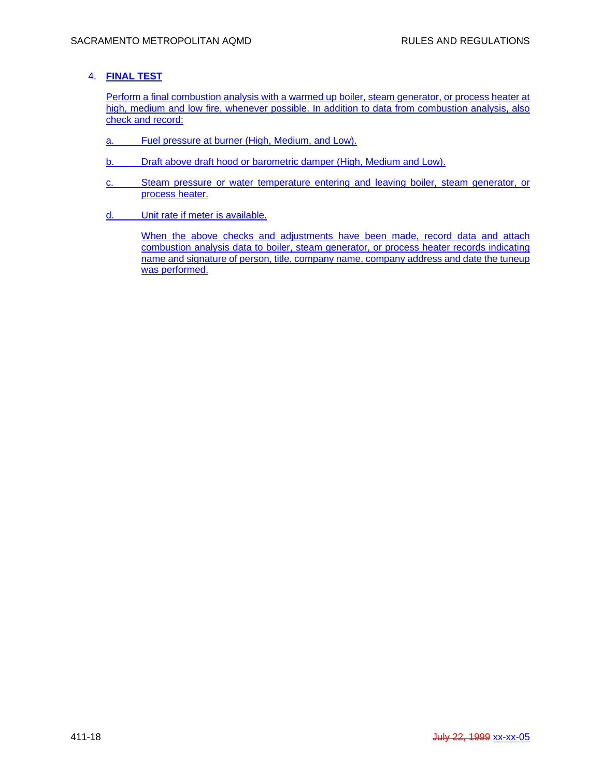# 4. **FINAL TEST**

Perform a final combustion analysis with a warmed up boiler, steam generator, or process heater at high, medium and low fire, whenever possible. In addition to data from combustion analysis, also check and record:

- a. Fuel pressure at burner (High, Medium, and Low).
- b. Draft above draft hood or barometric damper (High, Medium and Low).
- c. Steam pressure or water temperature entering and leaving boiler, steam generator, or process heater.
- d. Unit rate if meter is available.

When the above checks and adjustments have been made, record data and attach combustion analysis data to boiler, steam generator, or process heater records indicating name and signature of person, title, company name, company address and date the tuneup was performed.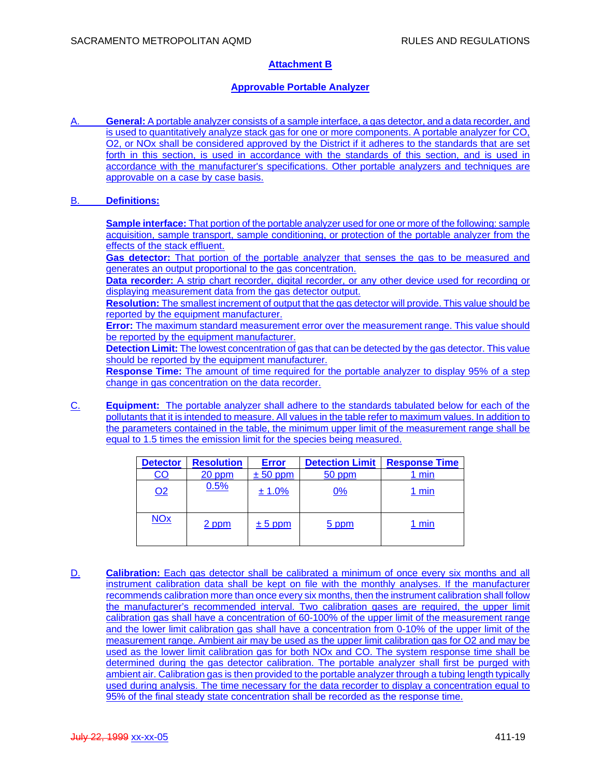# **Attachment B**

## **Approvable Portable Analyzer**

A. **General:** A portable analyzer consists of a sample interface, a gas detector, and a data recorder, and is used to quantitatively analyze stack gas for one or more components. A portable analyzer for CO, O2, or NOx shall be considered approved by the District if it adheres to the standards that are set forth in this section, is used in accordance with the standards of this section, and is used in accordance with the manufacturer's specifications. Other portable analyzers and techniques are approvable on a case by case basis.

## B. **Definitions:**

**Sample interface:** That portion of the portable analyzer used for one or more of the following: sample acquisition, sample transport, sample conditioning, or protection of the portable analyzer from the effects of the stack effluent.

Gas detector: That portion of the portable analyzer that senses the gas to be measured and generates an output proportional to the gas concentration.

**Data recorder:** A strip chart recorder, digital recorder, or any other device used for recording or displaying measurement data from the gas detector output.

**Resolution:** The smallest increment of output that the gas detector will provide. This value should be reported by the equipment manufacturer.

**Error:** The maximum standard measurement error over the measurement range. This value should be reported by the equipment manufacturer.

**Detection Limit:** The lowest concentration of gas that can be detected by the gas detector. This value should be reported by the equipment manufacturer.

**Response Time:** The amount of time required for the portable analyzer to display 95% of a step change in gas concentration on the data recorder.

C. **Equipment:** The portable analyzer shall adhere to the standards tabulated below for each of the pollutants that it is intended to measure. All values in the table refer to maximum values. In addition to the parameters contained in the table, the minimum upper limit of the measurement range shall be equal to 1.5 times the emission limit for the species being measured.

| <b>Detector</b>       | <b>Resolution</b> | <b>Error</b> | <b>Detection Limit</b> | <b>Response Time</b> |
|-----------------------|-------------------|--------------|------------------------|----------------------|
| CO                    | $20$ ppm          | $± 50$ ppm   | 50 ppm                 | $1 \text{ min}$      |
| Q <sub>2</sub>        | 0.5%              | ± 1.0%       | 0%                     | 1 min                |
| <b>NO<sub>x</sub></b> | 2 ppm             | $± 5$ ppm    | 5 ppm                  | 1 min                |

D. **Calibration:** Each gas detector shall be calibrated a minimum of once every six months and all instrument calibration data shall be kept on file with the monthly analyses. If the manufacturer recommends calibration more than once every six months, then the instrument calibration shall follow the manufacturer's recommended interval. Two calibration gases are required, the upper limit calibration gas shall have a concentration of 60-100% of the upper limit of the measurement range and the lower limit calibration gas shall have a concentration from 0-10% of the upper limit of the measurement range. Ambient air may be used as the upper limit calibration gas for O2 and may be used as the lower limit calibration gas for both NOx and CO. The system response time shall be determined during the gas detector calibration. The portable analyzer shall first be purged with ambient air. Calibration gas is then provided to the portable analyzer through a tubing length typically used during analysis. The time necessary for the data recorder to display a concentration equal to 95% of the final steady state concentration shall be recorded as the response time.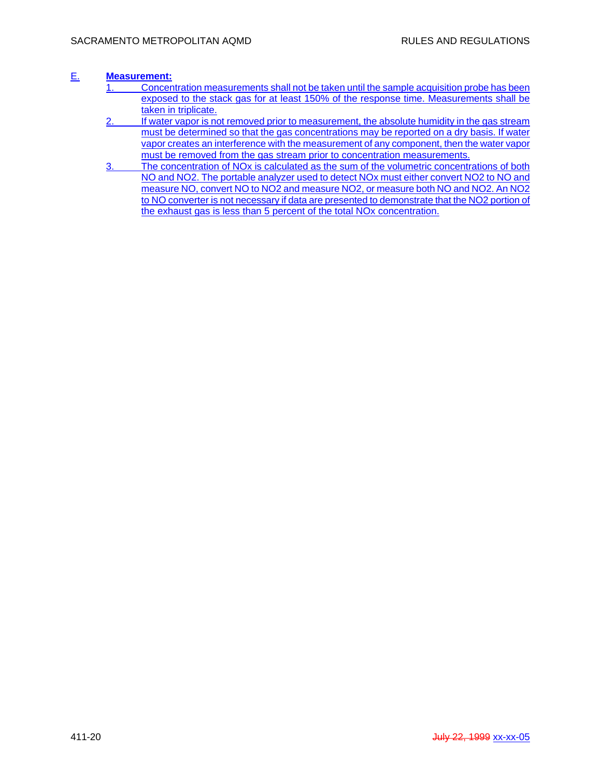# E. **Measurement:**

- 1. Concentration measurements shall not be taken until the sample acquisition probe has been exposed to the stack gas for at least 150% of the response time. Measurements shall be taken in triplicate.
- 2. If water vapor is not removed prior to measurement, the absolute humidity in the gas stream must be determined so that the gas concentrations may be reported on a dry basis. If water vapor creates an interference with the measurement of any component, then the water vapor must be removed from the gas stream prior to concentration measurements.
- 3. The concentration of NOx is calculated as the sum of the volumetric concentrations of both NO and NO2. The portable analyzer used to detect NOx must either convert NO2 to NO and measure NO, convert NO to NO2 and measure NO2, or measure both NO and NO2. An NO2 to NO converter is not necessary if data are presented to demonstrate that the NO2 portion of the exhaust gas is less than 5 percent of the total NOx concentration.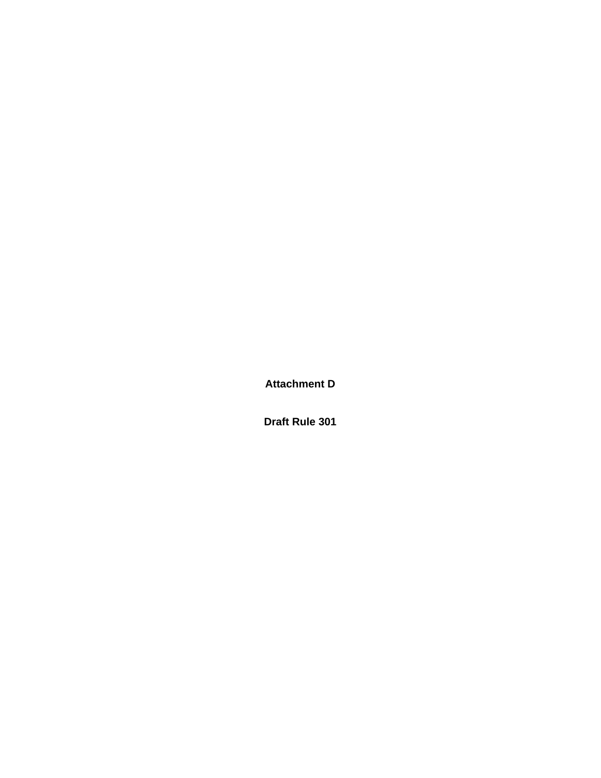**Attachment D** 

**Draft Rule 301**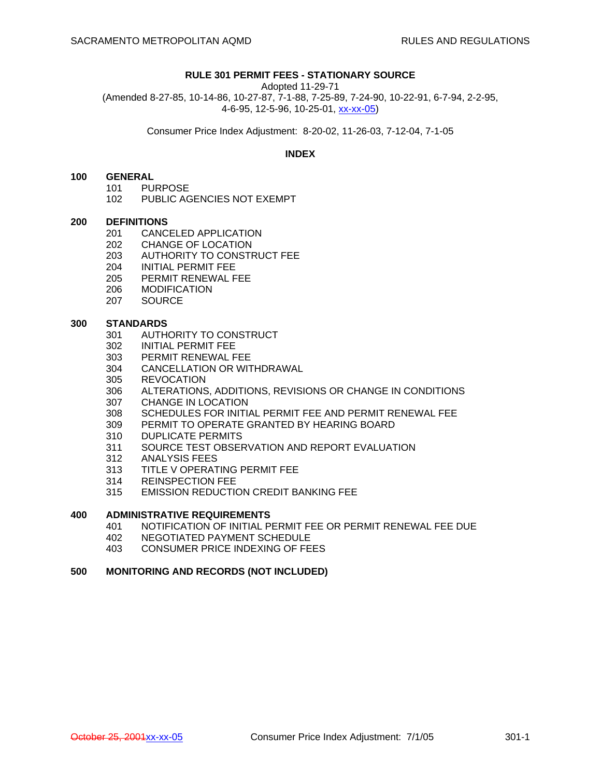## **RULE 301 PERMIT FEES - STATIONARY SOURCE**

Adopted 11-29-71 (Amended 8-27-85, 10-14-86, 10-27-87, 7-1-88, 7-25-89, 7-24-90, 10-22-91, 6-7-94, 2-2-95, 4-6-95, 12-5-96, 10-25-01, xx-xx-05)

Consumer Price Index Adjustment: 8-20-02, 11-26-03, 7-12-04, 7-1-05

## **INDEX**

#### **100 GENERAL**

- 101 PURPOSE
- 102 PUBLIC AGENCIES NOT EXEMPT

#### **200 DEFINITIONS**

- 201 CANCELED APPLICATION
- 
- 202 CHANGE OF LOCATION<br>203 AUTHORITY TO CONSTI AUTHORITY TO CONSTRUCT FEE
- 204 INITIAL PERMIT FEE
- 205 PERMIT RENEWAL FEE
- 206 MODIFICATION
- 207 SOURCE

# **300 STANDARDS**<br>301 AUTH

- 301 AUTHORITY TO CONSTRUCT
- 302 INITIAL PERMIT FEE
- 303 PERMIT RENEWAL FEE
- 304 CANCELLATION OR WITHDRAWAL
- 305 REVOCATION
- 306 ALTERATIONS, ADDITIONS, REVISIONS OR CHANGE IN CONDITIONS
- 307 CHANGE IN LOCATION
- 308 SCHEDULES FOR INITIAL PERMIT FEE AND PERMIT RENEWAL FEE
- 309 PERMIT TO OPERATE GRANTED BY HEARING BOARD
- 310 DUPLICATE PERMITS
- 311 SOURCE TEST OBSERVATION AND REPORT EVALUATION
- 312 ANALYSIS FEES
- 313 TITLE V OPERATING PERMIT FEE
- 314 REINSPECTION FEE
- 315 EMISSION REDUCTION CREDIT BANKING FEE

# **400 ADMINISTRATIVE REQUIREMENTS**

- 401 NOTIFICATION OF INITIAL PERMIT FEE OR PERMIT RENEWAL FEE DUE
- 402 NEGOTIATED PAYMENT SCHEDULE
- 403 CONSUMER PRICE INDEXING OF FEES

## **500 MONITORING AND RECORDS (NOT INCLUDED)**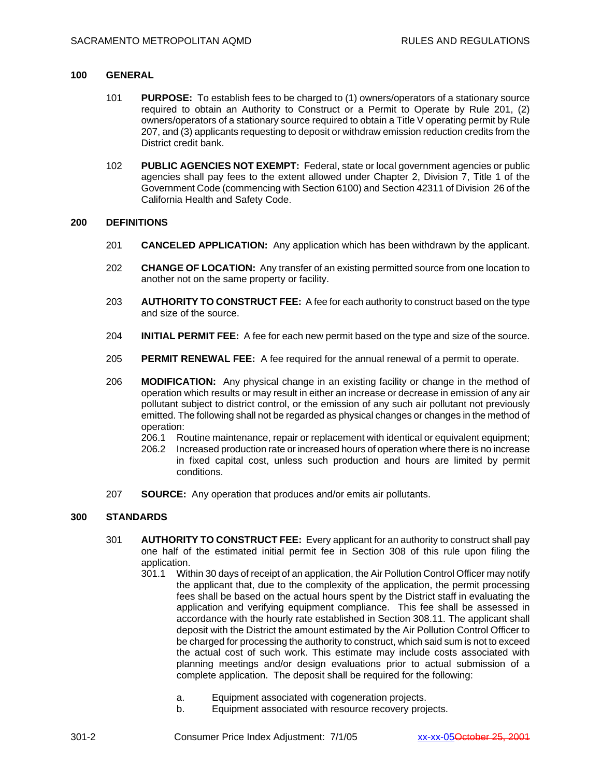## **100 GENERAL**

- 101 **PURPOSE:** To establish fees to be charged to (1) owners/operators of a stationary source required to obtain an Authority to Construct or a Permit to Operate by Rule 201, (2) owners/operators of a stationary source required to obtain a Title V operating permit by Rule 207, and (3) applicants requesting to deposit or withdraw emission reduction credits from the District credit bank.
- 102 **PUBLIC AGENCIES NOT EXEMPT:** Federal, state or local government agencies or public agencies shall pay fees to the extent allowed under Chapter 2, Division 7, Title 1 of the Government Code (commencing with Section 6100) and Section 42311 of Division 26 of the California Health and Safety Code.

## **200 DEFINITIONS**

- 201 **CANCELED APPLICATION:** Any application which has been withdrawn by the applicant.
- 202 **CHANGE OF LOCATION:** Any transfer of an existing permitted source from one location to another not on the same property or facility.
- 203 **AUTHORITY TO CONSTRUCT FEE:** A fee for each authority to construct based on the type and size of the source.
- 204 **INITIAL PERMIT FEE:** A fee for each new permit based on the type and size of the source.
- 205 **PERMIT RENEWAL FEE:** A fee required for the annual renewal of a permit to operate.
- 206 **MODIFICATION:** Any physical change in an existing facility or change in the method of operation which results or may result in either an increase or decrease in emission of any air pollutant subject to district control, or the emission of any such air pollutant not previously emitted. The following shall not be regarded as physical changes or changes in the method of operation:
	- 206.1 Routine maintenance, repair or replacement with identical or equivalent equipment;
	- 206.2 Increased production rate or increased hours of operation where there is no increase in fixed capital cost, unless such production and hours are limited by permit conditions.
- 207 **SOURCE:** Any operation that produces and/or emits air pollutants.

## **300 STANDARDS**

- 301 **AUTHORITY TO CONSTRUCT FEE:** Every applicant for an authority to construct shall pay one half of the estimated initial permit fee in Section 308 of this rule upon filing the application.
	- 301.1 Within 30 days of receipt of an application, the Air Pollution Control Officer may notify the applicant that, due to the complexity of the application, the permit processing fees shall be based on the actual hours spent by the District staff in evaluating the application and verifying equipment compliance. This fee shall be assessed in accordance with the hourly rate established in Section 308.11. The applicant shall deposit with the District the amount estimated by the Air Pollution Control Officer to be charged for processing the authority to construct, which said sum is not to exceed the actual cost of such work. This estimate may include costs associated with planning meetings and/or design evaluations prior to actual submission of a complete application. The deposit shall be required for the following:
		- a. Equipment associated with cogeneration projects.
		- b. Equipment associated with resource recovery projects.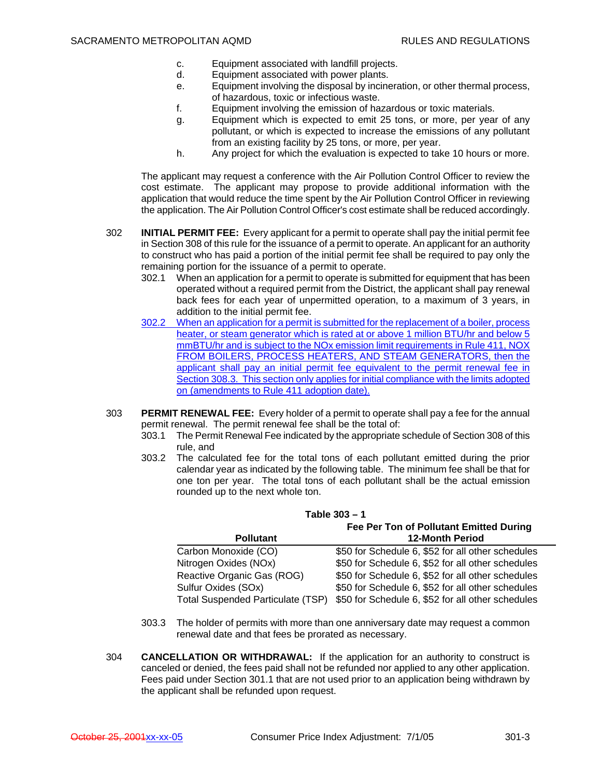- c. Equipment associated with landfill projects.
- d. Equipment associated with power plants.
- e. Equipment involving the disposal by incineration, or other thermal process, of hazardous, toxic or infectious waste.
- f. Equipment involving the emission of hazardous or toxic materials.
- g. Equipment which is expected to emit 25 tons, or more, per year of any pollutant, or which is expected to increase the emissions of any pollutant from an existing facility by 25 tons, or more, per year.
- h. Any project for which the evaluation is expected to take 10 hours or more.

The applicant may request a conference with the Air Pollution Control Officer to review the cost estimate. The applicant may propose to provide additional information with the application that would reduce the time spent by the Air Pollution Control Officer in reviewing the application. The Air Pollution Control Officer's cost estimate shall be reduced accordingly.

- 302 **INITIAL PERMIT FEE:** Every applicant for a permit to operate shall pay the initial permit fee in Section 308 of this rule for the issuance of a permit to operate. An applicant for an authority to construct who has paid a portion of the initial permit fee shall be required to pay only the remaining portion for the issuance of a permit to operate.
	- 302.1 When an application for a permit to operate is submitted for equipment that has been operated without a required permit from the District, the applicant shall pay renewal back fees for each year of unpermitted operation, to a maximum of 3 years, in addition to the initial permit fee.
	- 302.2 When an application for a permit is submitted for the replacement of a boiler, process heater, or steam generator which is rated at or above 1 million BTU/hr and below 5 mmBTU/hr and is subject to the NOx emission limit requirements in Rule 411, NOX FROM BOILERS, PROCESS HEATERS, AND STEAM GENERATORS, then the applicant shall pay an initial permit fee equivalent to the permit renewal fee in Section 308.3. This section only applies for initial compliance with the limits adopted on (amendments to Rule 411 adoption date).
- 303 **PERMIT RENEWAL FEE:** Every holder of a permit to operate shall pay a fee for the annual permit renewal. The permit renewal fee shall be the total of:
	- 303.1 The Permit Renewal Fee indicated by the appropriate schedule of Section 308 of this rule, and
	- 303.2 The calculated fee for the total tons of each pollutant emitted during the prior calendar year as indicated by the following table. The minimum fee shall be that for one ton per year. The total tons of each pollutant shall be the actual emission rounded up to the next whole ton.

| Table 303 - 1                            |                                                   |  |  |
|------------------------------------------|---------------------------------------------------|--|--|
| Fee Per Ton of Pollutant Emitted During  |                                                   |  |  |
| <b>Pollutant</b>                         | <b>12-Month Period</b>                            |  |  |
| Carbon Monoxide (CO)                     | \$50 for Schedule 6, \$52 for all other schedules |  |  |
| Nitrogen Oxides (NOx)                    | \$50 for Schedule 6, \$52 for all other schedules |  |  |
| Reactive Organic Gas (ROG)               | \$50 for Schedule 6, \$52 for all other schedules |  |  |
| Sulfur Oxides (SOx)                      | \$50 for Schedule 6, \$52 for all other schedules |  |  |
| <b>Total Suspended Particulate (TSP)</b> | \$50 for Schedule 6, \$52 for all other schedules |  |  |

- 303.3 The holder of permits with more than one anniversary date may request a common renewal date and that fees be prorated as necessary.
- 304 **CANCELLATION OR WITHDRAWAL:** If the application for an authority to construct is canceled or denied, the fees paid shall not be refunded nor applied to any other application. Fees paid under Section 301.1 that are not used prior to an application being withdrawn by the applicant shall be refunded upon request.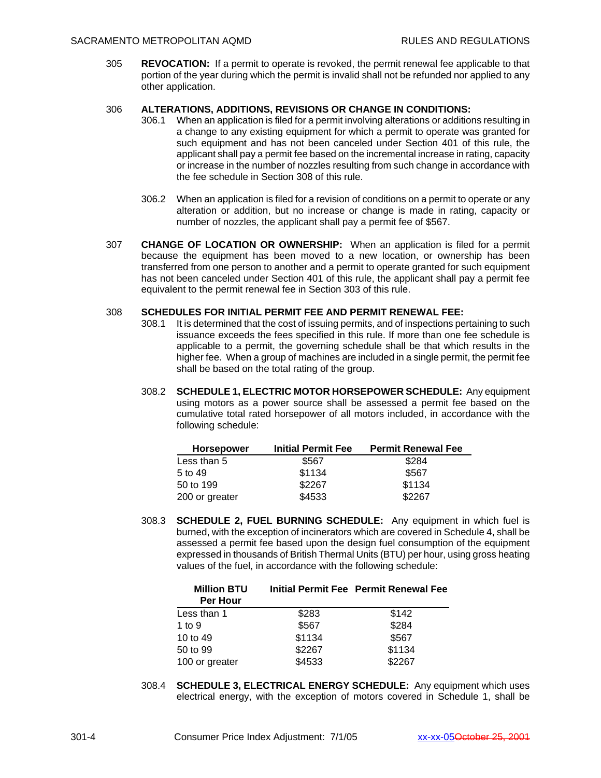305 **REVOCATION:** If a permit to operate is revoked, the permit renewal fee applicable to that portion of the year during which the permit is invalid shall not be refunded nor applied to any other application.

## 306 **ALTERATIONS, ADDITIONS, REVISIONS OR CHANGE IN CONDITIONS:**

- 306.1 When an application is filed for a permit involving alterations or additions resulting in a change to any existing equipment for which a permit to operate was granted for such equipment and has not been canceled under Section 401 of this rule, the applicant shall pay a permit fee based on the incremental increase in rating, capacity or increase in the number of nozzles resulting from such change in accordance with the fee schedule in Section 308 of this rule.
- 306.2 When an application is filed for a revision of conditions on a permit to operate or any alteration or addition, but no increase or change is made in rating, capacity or number of nozzles, the applicant shall pay a permit fee of \$567.
- 307 **CHANGE OF LOCATION OR OWNERSHIP:** When an application is filed for a permit because the equipment has been moved to a new location, or ownership has been transferred from one person to another and a permit to operate granted for such equipment has not been canceled under Section 401 of this rule, the applicant shall pay a permit fee equivalent to the permit renewal fee in Section 303 of this rule.

## 308 **SCHEDULES FOR INITIAL PERMIT FEE AND PERMIT RENEWAL FEE:**

- 308.1 It is determined that the cost of issuing permits, and of inspections pertaining to such issuance exceeds the fees specified in this rule. If more than one fee schedule is applicable to a permit, the governing schedule shall be that which results in the higher fee. When a group of machines are included in a single permit, the permit fee shall be based on the total rating of the group.
- 308.2 **SCHEDULE 1, ELECTRIC MOTOR HORSEPOWER SCHEDULE:** Any equipment using motors as a power source shall be assessed a permit fee based on the cumulative total rated horsepower of all motors included, in accordance with the following schedule:

| <b>Horsepower</b> | <b>Initial Permit Fee</b> | <b>Permit Renewal Fee</b> |
|-------------------|---------------------------|---------------------------|
| Less than 5       | \$567                     | \$284                     |
| 5 to 49           | \$1134                    | \$567                     |
| 50 to 199         | \$2267                    | \$1134                    |
| 200 or greater    | \$4533                    | \$2267                    |

308.3 **SCHEDULE 2, FUEL BURNING SCHEDULE:** Any equipment in which fuel is burned, with the exception of incinerators which are covered in Schedule 4, shall be assessed a permit fee based upon the design fuel consumption of the equipment expressed in thousands of British Thermal Units (BTU) per hour, using gross heating values of the fuel, in accordance with the following schedule:

| <b>Million BTU</b><br>Per Hour |        | Initial Permit Fee Permit Renewal Fee |
|--------------------------------|--------|---------------------------------------|
| Less than 1                    | \$283  | \$142                                 |
| 1 to $9$                       | \$567  | \$284                                 |
| 10 to 49                       | \$1134 | \$567                                 |
| 50 to 99                       | \$2267 | \$1134                                |
| 100 or greater                 | \$4533 | \$2267                                |

308.4 **SCHEDULE 3, ELECTRICAL ENERGY SCHEDULE:** Any equipment which uses electrical energy, with the exception of motors covered in Schedule 1, shall be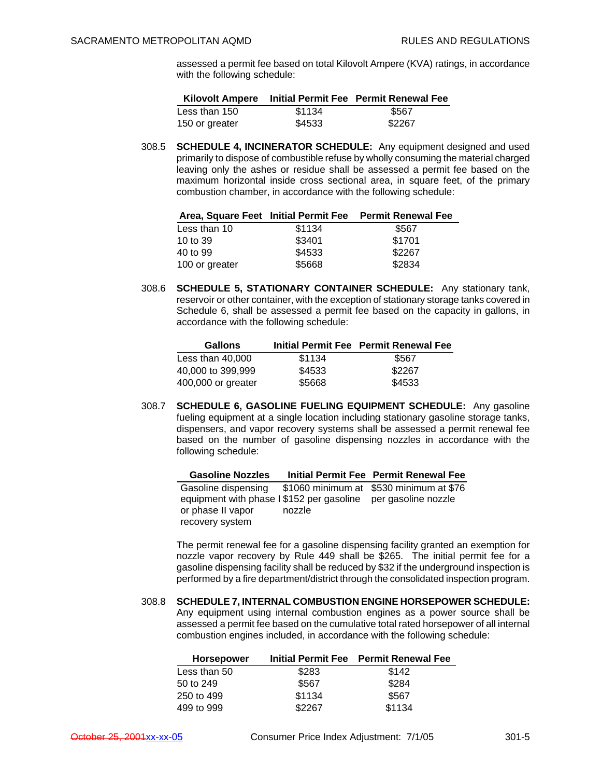assessed a permit fee based on total Kilovolt Ampere (KVA) ratings, in accordance with the following schedule:

| <b>Kilovolt Ampere</b> |        | Initial Permit Fee Permit Renewal Fee |
|------------------------|--------|---------------------------------------|
| Less than 150          | \$1134 | \$567                                 |
| 150 or greater         | \$4533 | \$2267                                |

308.5 **SCHEDULE 4, INCINERATOR SCHEDULE:** Any equipment designed and used primarily to dispose of combustible refuse by wholly consuming the material charged leaving only the ashes or residue shall be assessed a permit fee based on the maximum horizontal inside cross sectional area, in square feet, of the primary combustion chamber, in accordance with the following schedule:

|                |        | Area, Square Feet Initial Permit Fee Permit Renewal Fee |
|----------------|--------|---------------------------------------------------------|
| Less than 10   | \$1134 | \$567                                                   |
| 10 to 39       | \$3401 | \$1701                                                  |
| 40 to 99       | \$4533 | \$2267                                                  |
| 100 or greater | \$5668 | \$2834                                                  |

308.6 **SCHEDULE 5, STATIONARY CONTAINER SCHEDULE:** Any stationary tank, reservoir or other container, with the exception of stationary storage tanks covered in Schedule 6, shall be assessed a permit fee based on the capacity in gallons, in accordance with the following schedule:

| <b>Gallons</b>     |        | Initial Permit Fee Permit Renewal Fee |
|--------------------|--------|---------------------------------------|
| Less than 40.000   | \$1134 | \$567                                 |
| 40,000 to 399,999  | \$4533 | \$2267                                |
| 400,000 or greater | \$5668 | \$4533                                |

308.7 **SCHEDULE 6, GASOLINE FUELING EQUIPMENT SCHEDULE:** Any gasoline fueling equipment at a single location including stationary gasoline storage tanks, dispensers, and vapor recovery systems shall be assessed a permit renewal fee based on the number of gasoline dispensing nozzles in accordance with the following schedule:

| <b>Gasoline Nozzles</b>                   |        | Initial Permit Fee Permit Renewal Fee   |
|-------------------------------------------|--------|-----------------------------------------|
| Gasoline dispensing                       |        | \$1060 minimum at \$530 minimum at \$76 |
| equipment with phase I \$152 per gasoline |        | per gasoline nozzle                     |
| or phase II vapor                         | nozzle |                                         |
| recovery system                           |        |                                         |

The permit renewal fee for a gasoline dispensing facility granted an exemption for nozzle vapor recovery by Rule 449 shall be \$265. The initial permit fee for a gasoline dispensing facility shall be reduced by \$32 if the underground inspection is performed by a fire department/district through the consolidated inspection program.

308.8 **SCHEDULE 7, INTERNAL COMBUSTION ENGINE HORSEPOWER SCHEDULE:** Any equipment using internal combustion engines as a power source shall be assessed a permit fee based on the cumulative total rated horsepower of all internal combustion engines included, in accordance with the following schedule:

|        | Initial Permit Fee Permit Renewal Fee |
|--------|---------------------------------------|
| \$283  | \$142                                 |
| \$567  | \$284                                 |
| \$1134 | \$567                                 |
| \$2267 | \$1134                                |
|        |                                       |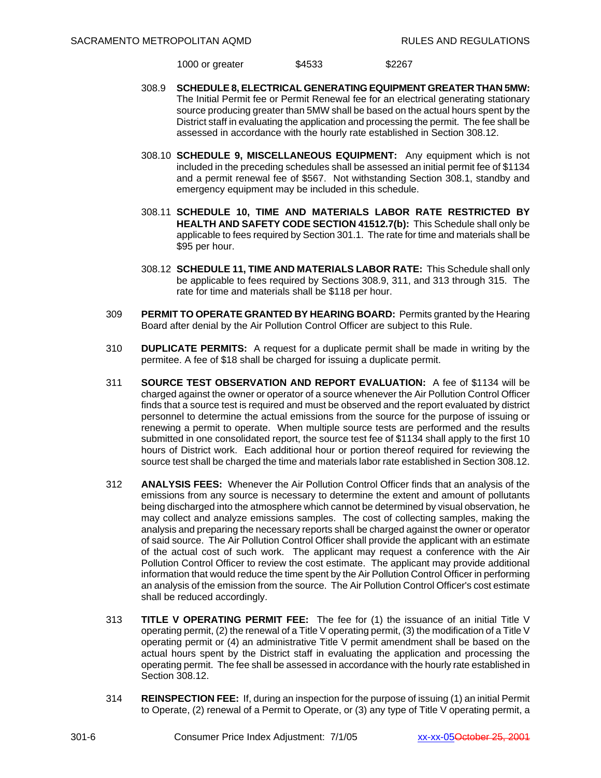1000 or greater \$4533 \$2267

- 308.9 **SCHEDULE 8, ELECTRICAL GENERATING EQUIPMENT GREATER THAN 5MW:** The Initial Permit fee or Permit Renewal fee for an electrical generating stationary source producing greater than 5MW shall be based on the actual hours spent by the District staff in evaluating the application and processing the permit. The fee shall be assessed in accordance with the hourly rate established in Section 308.12.
- 308.10 **SCHEDULE 9, MISCELLANEOUS EQUIPMENT:** Any equipment which is not included in the preceding schedules shall be assessed an initial permit fee of \$1134 and a permit renewal fee of \$567. Not withstanding Section 308.1, standby and emergency equipment may be included in this schedule.
- 308.11 **SCHEDULE 10, TIME AND MATERIALS LABOR RATE RESTRICTED BY HEALTH AND SAFETY CODE SECTION 41512.7(b):** This Schedule shall only be applicable to fees required by Section 301.1. The rate for time and materials shall be \$95 per hour.
- 308.12 **SCHEDULE 11, TIME AND MATERIALS LABOR RATE:** This Schedule shall only be applicable to fees required by Sections 308.9, 311, and 313 through 315. The rate for time and materials shall be \$118 per hour.
- 309 **PERMIT TO OPERATE GRANTED BY HEARING BOARD:** Permits granted by the Hearing Board after denial by the Air Pollution Control Officer are subject to this Rule.
- 310 **DUPLICATE PERMITS:** A request for a duplicate permit shall be made in writing by the permitee. A fee of \$18 shall be charged for issuing a duplicate permit.
- 311 **SOURCE TEST OBSERVATION AND REPORT EVALUATION:** A fee of \$1134 will be charged against the owner or operator of a source whenever the Air Pollution Control Officer finds that a source test is required and must be observed and the report evaluated by district personnel to determine the actual emissions from the source for the purpose of issuing or renewing a permit to operate. When multiple source tests are performed and the results submitted in one consolidated report, the source test fee of \$1134 shall apply to the first 10 hours of District work. Each additional hour or portion thereof required for reviewing the source test shall be charged the time and materials labor rate established in Section 308.12.
- 312 **ANALYSIS FEES:** Whenever the Air Pollution Control Officer finds that an analysis of the emissions from any source is necessary to determine the extent and amount of pollutants being discharged into the atmosphere which cannot be determined by visual observation, he may collect and analyze emissions samples. The cost of collecting samples, making the analysis and preparing the necessary reports shall be charged against the owner or operator of said source. The Air Pollution Control Officer shall provide the applicant with an estimate of the actual cost of such work. The applicant may request a conference with the Air Pollution Control Officer to review the cost estimate. The applicant may provide additional information that would reduce the time spent by the Air Pollution Control Officer in performing an analysis of the emission from the source. The Air Pollution Control Officer's cost estimate shall be reduced accordingly.
- 313 **TITLE V OPERATING PERMIT FEE:** The fee for (1) the issuance of an initial Title V operating permit,  $(2)$  the renewal of a Title V operating permit,  $(3)$  the modification of a Title V operating permit or (4) an administrative Title V permit amendment shall be based on the actual hours spent by the District staff in evaluating the application and processing the operating permit. The fee shall be assessed in accordance with the hourly rate established in Section 308.12.
- 314 **REINSPECTION FEE:** If, during an inspection for the purpose of issuing (1) an initial Permit to Operate, (2) renewal of a Permit to Operate, or (3) any type of Title V operating permit, a